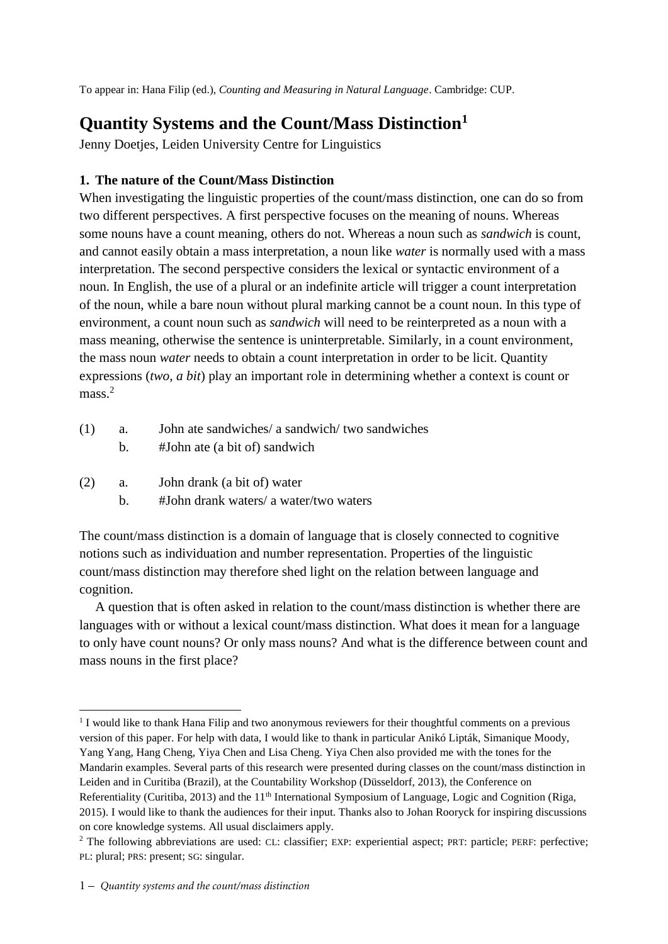To appear in: Hana Filip (ed.), *Counting and Measuring in Natural Language*. Cambridge: CUP.

# **Quantity Systems and the Count/Mass Distinction<sup>1</sup>**

Jenny Doetjes, Leiden University Centre for Linguistics

# **1. The nature of the Count/Mass Distinction**

When investigating the linguistic properties of the count/mass distinction, one can do so from two different perspectives. A first perspective focuses on the meaning of nouns. Whereas some nouns have a count meaning, others do not. Whereas a noun such as *sandwich* is count, and cannot easily obtain a mass interpretation, a noun like *water* is normally used with a mass interpretation. The second perspective considers the lexical or syntactic environment of a noun. In English, the use of a plural or an indefinite article will trigger a count interpretation of the noun, while a bare noun without plural marking cannot be a count noun. In this type of environment, a count noun such as *sandwich* will need to be reinterpreted as a noun with a mass meaning, otherwise the sentence is uninterpretable. Similarly, in a count environment, the mass noun *water* needs to obtain a count interpretation in order to be licit. Quantity expressions (*two*, *a bit*) play an important role in determining whether a context is count or mass.<sup>2</sup>

<span id="page-0-1"></span><span id="page-0-0"></span>

| (1) | a.<br>b. | John ate sandwiches/ a sandwich/ two sandwiches<br>#John ate (a bit of) sandwich |
|-----|----------|----------------------------------------------------------------------------------|
| (2) | a.<br>h. | John drank (a bit of) water<br>#John drank waters/ a water/two waters            |

The count/mass distinction is a domain of language that is closely connected to cognitive notions such as individuation and number representation. Properties of the linguistic count/mass distinction may therefore shed light on the relation between language and cognition.

A question that is often asked in relation to the count/mass distinction is whether there are languages with or without a lexical count/mass distinction. What does it mean for a language to only have count nouns? Or only mass nouns? And what is the difference between count and mass nouns in the first place?

**.** 

<sup>&</sup>lt;sup>1</sup> I would like to thank Hana Filip and two anonymous reviewers for their thoughtful comments on a previous version of this paper. For help with data, I would like to thank in particular Anikó Lipták, Simanique Moody, Yang Yang, Hang Cheng, Yiya Chen and Lisa Cheng. Yiya Chen also provided me with the tones for the Mandarin examples. Several parts of this research were presented during classes on the count/mass distinction in Leiden and in Curitiba (Brazil), at the Countability Workshop (Düsseldorf, 2013), the Conference on Referentiality (Curitiba, 2013) and the 11<sup>th</sup> International Symposium of Language, Logic and Cognition (Riga, 2015). I would like to thank the audiences for their input. Thanks also to Johan Rooryck for inspiring discussions on core knowledge systems. All usual disclaimers apply.

<sup>2</sup> The following abbreviations are used: CL: classifier; EXP: experiential aspect; PRT: particle; PERF: perfective; PL: plural; PRS: present; SG: singular.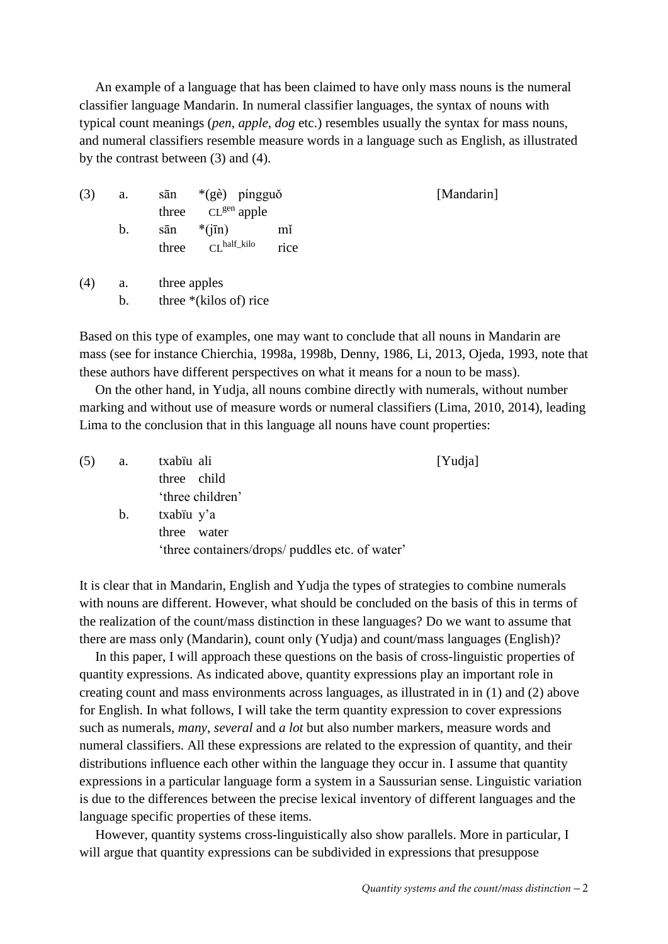An example of a language that has been claimed to have only mass nouns is the numeral classifier language Mandarin. In numeral classifier languages, the syntax of nouns with typical count meanings (*pen*, *apple*, *dog* etc.) resembles usually the syntax for mass nouns, and numeral classifiers resemble measure words in a language such as English, as illustrated by the contrast between [\(3\)](#page-1-0) and [\(4\)](#page-1-1).

<span id="page-1-0"></span>

| (3) | a. | $*(g\grave{e})$ píngguð<br>sān<br>$CL^{gen}$ apple<br>three        | [Mandarin] |
|-----|----|--------------------------------------------------------------------|------------|
|     | b. | $*(i\overline{in})$<br>mĭ<br>sān<br>$CLhalf_kilo$<br>rice<br>three |            |
| (4) | a. | three apples                                                       |            |

<span id="page-1-1"></span>b. three  $*(\text{kilos of})$  rice

Based on this type of examples, one may want to conclude that all nouns in Mandarin are mass [\(see for instance Chierchia, 1998a,](#page-25-0) [1998b,](#page-25-1) [Denny, 1986,](#page-25-2) [Li, 2013,](#page-26-0) [Ojeda, 1993, note that](#page-26-1)  [these authors have different perspectives on what it means for a noun to be mass\)](#page-26-1).

On the other hand, in Yudja, all nouns combine directly with numerals, without number marking and without use of measure words or numeral classifiers [\(Lima, 2010,](#page-26-2) [2014\)](#page-26-3), leading Lima to the conclusion that in this language all nouns have count properties:

<span id="page-1-2"></span>

| (5) | a. | txabiu ali                                      | [Yudja] |
|-----|----|-------------------------------------------------|---------|
|     |    | three child                                     |         |
|     |    | 'three children'                                |         |
|     | b. | txabiu y'a                                      |         |
|     |    | three water                                     |         |
|     |    | 'three containers/drops/ puddles etc. of water' |         |

It is clear that in Mandarin, English and Yudja the types of strategies to combine numerals with nouns are different. However, what should be concluded on the basis of this in terms of the realization of the count/mass distinction in these languages? Do we want to assume that there are mass only (Mandarin), count only (Yudja) and count/mass languages (English)?

In this paper, I will approach these questions on the basis of cross-linguistic properties of quantity expressions. As indicated above, quantity expressions play an important role in creating count and mass environments across languages, as illustrated in in [\(1\)](#page-0-0) and [\(2\)](#page-0-1) above for English. In what follows, I will take the term quantity expression to cover expressions such as numerals, *many*, *several* and *a lot* but also number markers, measure words and numeral classifiers. All these expressions are related to the expression of quantity, and their distributions influence each other within the language they occur in. I assume that quantity expressions in a particular language form a system in a Saussurian sense. Linguistic variation is due to the differences between the precise lexical inventory of different languages and the language specific properties of these items.

However, quantity systems cross-linguistically also show parallels. More in particular, I will argue that quantity expressions can be subdivided in expressions that presuppose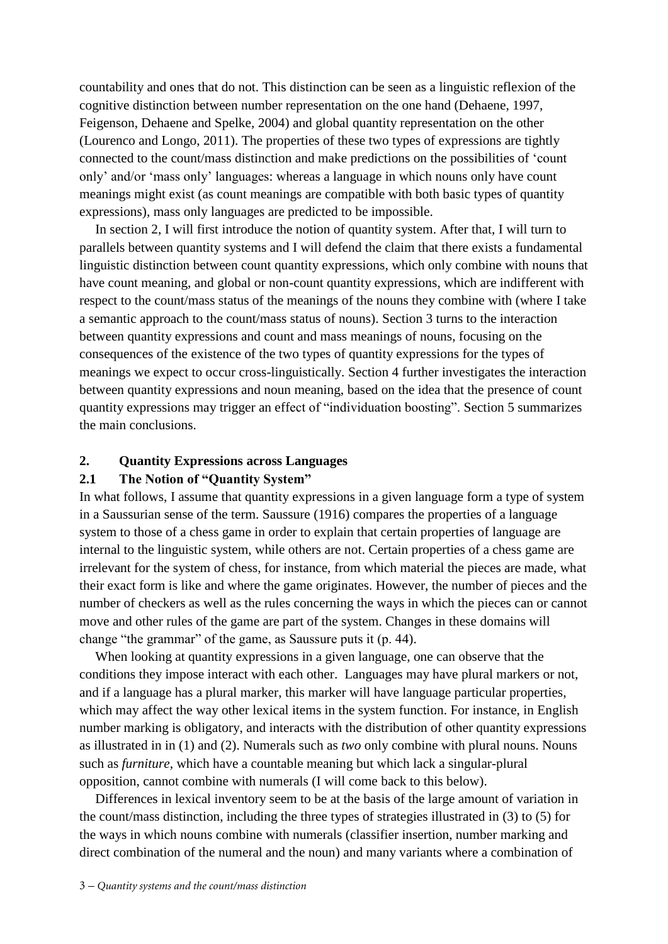countability and ones that do not. This distinction can be seen as a linguistic reflexion of the cognitive distinction between number representation on the one hand [\(Dehaene, 1997,](#page-25-3) [Feigenson, Dehaene and Spelke, 2004\)](#page-25-4) and global quantity representation on the other [\(Lourenco and Longo, 2011\)](#page-26-4). The properties of these two types of expressions are tightly connected to the count/mass distinction and make predictions on the possibilities of 'count only' and/or 'mass only' languages: whereas a language in which nouns only have count meanings might exist (as count meanings are compatible with both basic types of quantity expressions), mass only languages are predicted to be impossible.

In section 2, I will first introduce the notion of quantity system. After that, I will turn to parallels between quantity systems and I will defend the claim that there exists a fundamental linguistic distinction between count quantity expressions, which only combine with nouns that have count meaning, and global or non-count quantity expressions, which are indifferent with respect to the count/mass status of the meanings of the nouns they combine with (where I take a semantic approach to the count/mass status of nouns). Section 3 turns to the interaction between quantity expressions and count and mass meanings of nouns, focusing on the consequences of the existence of the two types of quantity expressions for the types of meanings we expect to occur cross-linguistically. Section 4 further investigates the interaction between quantity expressions and noun meaning, based on the idea that the presence of count quantity expressions may trigger an effect of "individuation boosting". Section 5 summarizes the main conclusions.

#### **2. Quantity Expressions across Languages**

## **2.1 The Notion of "Quantity System"**

In what follows, I assume that quantity expressions in a given language form a type of system in a Saussurian sense of the term. [Saussure \(1916\)](#page-27-0) compares the properties of a language system to those of a chess game in order to explain that certain properties of language are internal to the linguistic system, while others are not. Certain properties of a chess game are irrelevant for the system of chess, for instance, from which material the pieces are made, what their exact form is like and where the game originates. However, the number of pieces and the number of checkers as well as the rules concerning the ways in which the pieces can or cannot move and other rules of the game are part of the system. Changes in these domains will change "the grammar" of the game, as Saussure puts it (p. 44).

When looking at quantity expressions in a given language, one can observe that the conditions they impose interact with each other. Languages may have plural markers or not, and if a language has a plural marker, this marker will have language particular properties, which may affect the way other lexical items in the system function. For instance, in English number marking is obligatory, and interacts with the distribution of other quantity expressions as illustrated in in [\(1\)](#page-0-0) and [\(2\)](#page-0-1). Numerals such as *two* only combine with plural nouns. Nouns such as *furniture*, which have a countable meaning but which lack a singular-plural opposition, cannot combine with numerals (I will come back to this below).

Differences in lexical inventory seem to be at the basis of the large amount of variation in the count/mass distinction, including the three types of strategies illustrated in [\(3\)](#page-1-0) to [\(5\)](#page-1-2) for the ways in which nouns combine with numerals (classifier insertion, number marking and direct combination of the numeral and the noun) and many variants where a combination of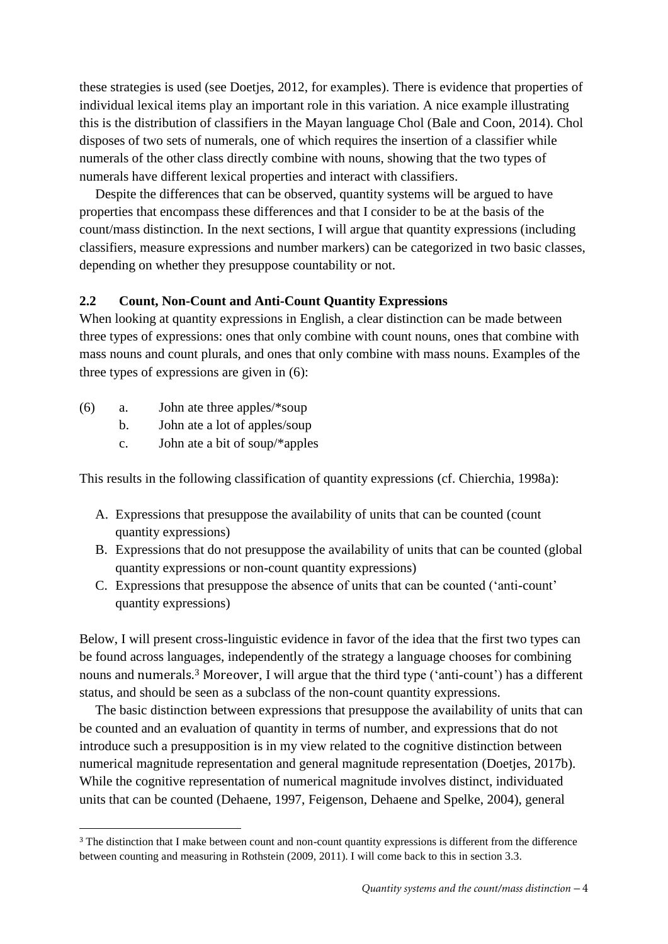these strategies is used [\(see Doetjes, 2012, for examples\)](#page-25-5). There is evidence that properties of individual lexical items play an important role in this variation. A nice example illustrating this is the distribution of classifiers in the Mayan language Chol [\(Bale and Coon, 2014\)](#page-24-0). Chol disposes of two sets of numerals, one of which requires the insertion of a classifier while numerals of the other class directly combine with nouns, showing that the two types of numerals have different lexical properties and interact with classifiers.

Despite the differences that can be observed, quantity systems will be argued to have properties that encompass these differences and that I consider to be at the basis of the count/mass distinction. In the next sections, I will argue that quantity expressions (including classifiers, measure expressions and number markers) can be categorized in two basic classes, depending on whether they presuppose countability or not.

# **2.2 Count, Non-Count and Anti-Count Quantity Expressions**

When looking at quantity expressions in English, a clear distinction can be made between three types of expressions: ones that only combine with count nouns, ones that combine with mass nouns and count plurals, and ones that only combine with mass nouns. Examples of the three types of expressions are given in [\(6\)](#page-3-0):

- <span id="page-3-0"></span>(6) a. John ate three apples/\*soup
	- b. John ate a lot of apples/soup
	- c. John ate a bit of soup/\*apples

This results in the following classification of quantity expressions [\(cf. Chierchia, 1998a\)](#page-25-0):

- A. Expressions that presuppose the availability of units that can be counted (count quantity expressions)
- B. Expressions that do not presuppose the availability of units that can be counted (global quantity expressions or non-count quantity expressions)
- C. Expressions that presuppose the absence of units that can be counted ('anti-count' quantity expressions)

Below, I will present cross-linguistic evidence in favor of the idea that the first two types can be found across languages, independently of the strategy a language chooses for combining nouns and numerals.<sup>3</sup> Moreover, I will argue that the third type ('anti-count') has a different status, and should be seen as a subclass of the non-count quantity expressions.

The basic distinction between expressions that presuppose the availability of units that can be counted and an evaluation of quantity in terms of number, and expressions that do not introduce such a presupposition is in my view related to the cognitive distinction between numerical magnitude representation and general magnitude representation [\(Doetjes, 2017b\)](#page-25-6). While the cognitive representation of numerical magnitude involves distinct, individuated units that can be counted [\(Dehaene, 1997,](#page-25-3) [Feigenson, Dehaene and Spelke, 2004\)](#page-25-4), general

 $\overline{a}$ <sup>3</sup> The distinction that I make between count and non-count quantity expressions is different from the difference between counting and measuring in Rothstein (2009, 2011). I will come back to this in section 3.3.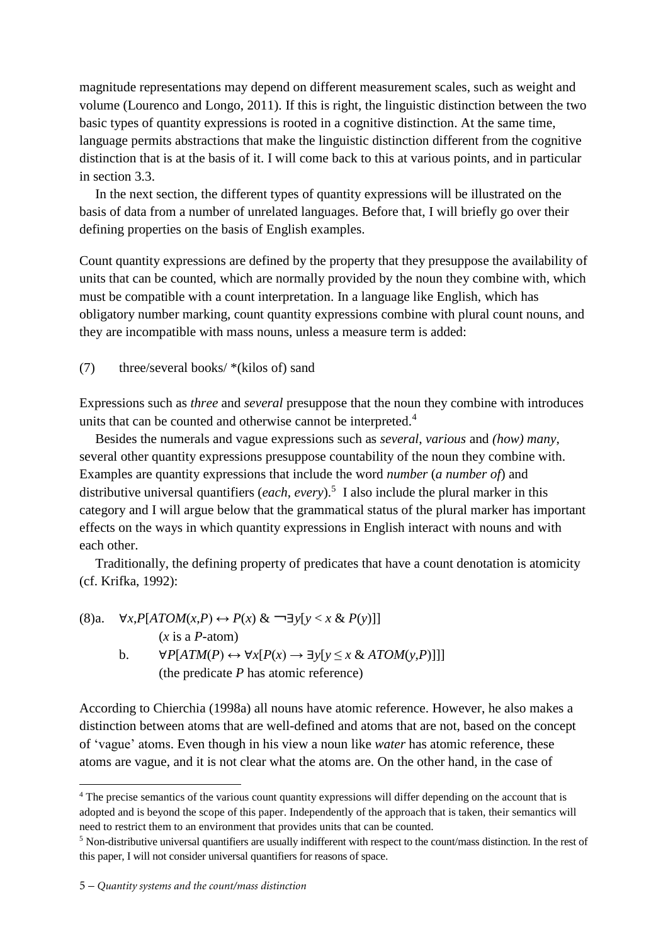magnitude representations may depend on different measurement scales, such as weight and volume [\(Lourenco and Longo, 2011\)](#page-26-4). If this is right, the linguistic distinction between the two basic types of quantity expressions is rooted in a cognitive distinction. At the same time, language permits abstractions that make the linguistic distinction different from the cognitive distinction that is at the basis of it. I will come back to this at various points, and in particular in section 3.3.

In the next section, the different types of quantity expressions will be illustrated on the basis of data from a number of unrelated languages. Before that, I will briefly go over their defining properties on the basis of English examples.

Count quantity expressions are defined by the property that they presuppose the availability of units that can be counted, which are normally provided by the noun they combine with, which must be compatible with a count interpretation. In a language like English, which has obligatory number marking, count quantity expressions combine with plural count nouns, and they are incompatible with mass nouns, unless a measure term is added:

# (7) three/several books/ \*(kilos of) sand

Expressions such as *three* and *several* presuppose that the noun they combine with introduces units that can be counted and otherwise cannot be interpreted.<sup>4</sup>

Besides the numerals and vague expressions such as *several*, *various* and *(how) many*, several other quantity expressions presuppose countability of the noun they combine with. Examples are quantity expressions that include the word *number* (*a number of*) and distributive universal quantifiers (*each*, *every*).<sup>5</sup> I also include the plural marker in this category and I will argue below that the grammatical status of the plural marker has important effects on the ways in which quantity expressions in English interact with nouns and with each other.

Traditionally, the defining property of predicates that have a count denotation is atomicity [\(cf. Krifka, 1992\)](#page-25-5):

(8)a. 
$$
\forall x, P[ATOM(x, P) \leftrightarrow P(x) \& \neg \exists y[y < x \& P(y)]]
$$
  
\n(*x* is a *P*-atom)  
\nb.  $\forall P[ATM(P) \leftrightarrow \forall x[P(x) \rightarrow \exists y[y \leq x \& ATOM(y, P)]]]$   
\n(the predicate *P* has atomic reference)

According to [Chierchia \(1998a\)](#page-25-0) all nouns have atomic reference. However, he also makes a distinction between atoms that are well-defined and atoms that are not, based on the concept of 'vague' atoms. Even though in his view a noun like *water* has atomic reference, these atoms are vague, and it is not clear what the atoms are. On the other hand, in the case of

1

<sup>4</sup> The precise semantics of the various count quantity expressions will differ depending on the account that is adopted and is beyond the scope of this paper. Independently of the approach that is taken, their semantics will need to restrict them to an environment that provides units that can be counted.

<sup>5</sup> Non-distributive universal quantifiers are usually indifferent with respect to the count/mass distinction. In the rest of this paper, I will not consider universal quantifiers for reasons of space.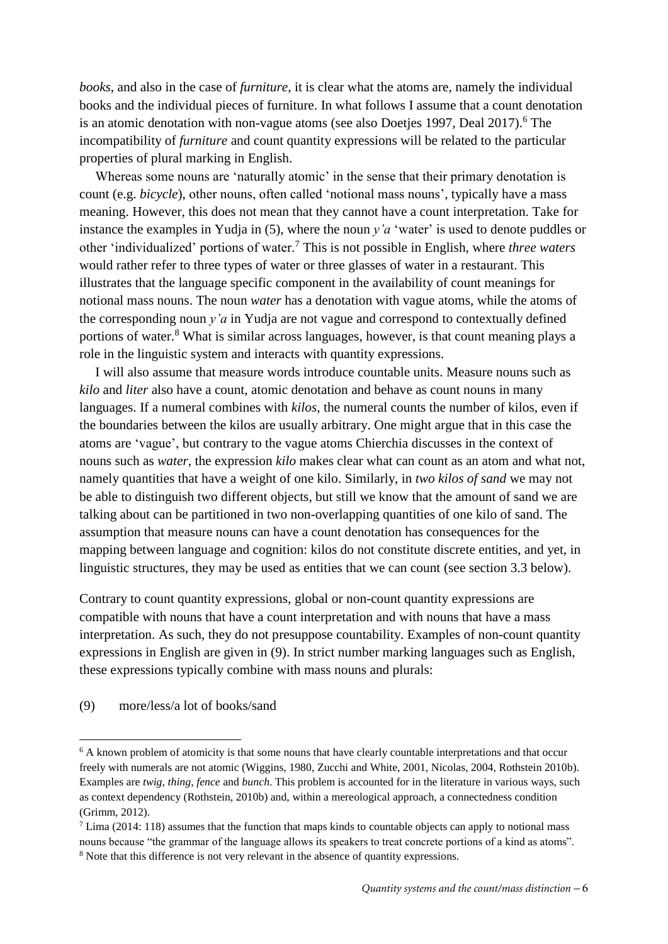*books*, and also in the case of *furniture*, it is clear what the atoms are, namely the individual books and the individual pieces of furniture. In what follows I assume that a count denotation is an atomic denotation with non-vague atoms (see also Doetjes 1997, Deal 2017).<sup>6</sup> The incompatibility of *furniture* and count quantity expressions will be related to the particular properties of plural marking in English.

Whereas some nouns are 'naturally atomic' in the sense that their primary denotation is count (e.g. *bicycle*), other nouns, often called 'notional mass nouns', typically have a mass meaning. However, this does not mean that they cannot have a count interpretation. Take for instance the examples in Yudja in [\(5\)](#page-1-2), where the noun *y'a* 'water' is used to denote puddles or other 'individualized' portions of water.<sup>7</sup> This is not possible in English, where *three waters*  would rather refer to three types of water or three glasses of water in a restaurant. This illustrates that the language specific component in the availability of count meanings for notional mass nouns. The noun *water* has a denotation with vague atoms, while the atoms of the corresponding noun *y'a* in Yudja are not vague and correspond to contextually defined portions of water.<sup>8</sup> What is similar across languages, however, is that count meaning plays a role in the linguistic system and interacts with quantity expressions.

I will also assume that measure words introduce countable units. Measure nouns such as *kilo* and *liter* also have a count, atomic denotation and behave as count nouns in many languages. If a numeral combines with *kilos*, the numeral counts the number of kilos, even if the boundaries between the kilos are usually arbitrary. One might argue that in this case the atoms are 'vague', but contrary to the vague atoms Chierchia discusses in the context of nouns such as *water*, the expression *kilo* makes clear what can count as an atom and what not, namely quantities that have a weight of one kilo. Similarly, in *two kilos of sand* we may not be able to distinguish two different objects, but still we know that the amount of sand we are talking about can be partitioned in two non-overlapping quantities of one kilo of sand. The assumption that measure nouns can have a count denotation has consequences for the mapping between language and cognition: kilos do not constitute discrete entities, and yet, in linguistic structures, they may be used as entities that we can count (see section 3.3 below).

Contrary to count quantity expressions, global or non-count quantity expressions are compatible with nouns that have a count interpretation and with nouns that have a mass interpretation. As such, they do not presuppose countability. Examples of non-count quantity expressions in English are given in [\(9\)](#page-5-0). In strict number marking languages such as English, these expressions typically combine with mass nouns and plurals:

# <span id="page-5-0"></span>(9) more/less/a lot of books/sand

 $\overline{a}$ 

<sup>&</sup>lt;sup>6</sup> A known problem of atomicity is that some nouns that have clearly countable interpretations and that occur freely with numerals are not atomic (Wiggins, 1980, Zucchi and White, 2001, Nicolas, 2004, Rothstein 2010b). Examples are *twig*, *thing*, *fence* and *bunch*. This problem is accounted for in the literature in various ways, such as context dependency (Rothstein, 2010b) and, within a mereological approach, a connectedness condition (Grimm, 2012).

 $7$  Lima (2014: 118) assumes that the function that maps kinds to countable objects can apply to notional mass nouns because "the grammar of the language allows its speakers to treat concrete portions of a kind as atoms".

<sup>&</sup>lt;sup>8</sup> Note that this difference is not very relevant in the absence of quantity expressions.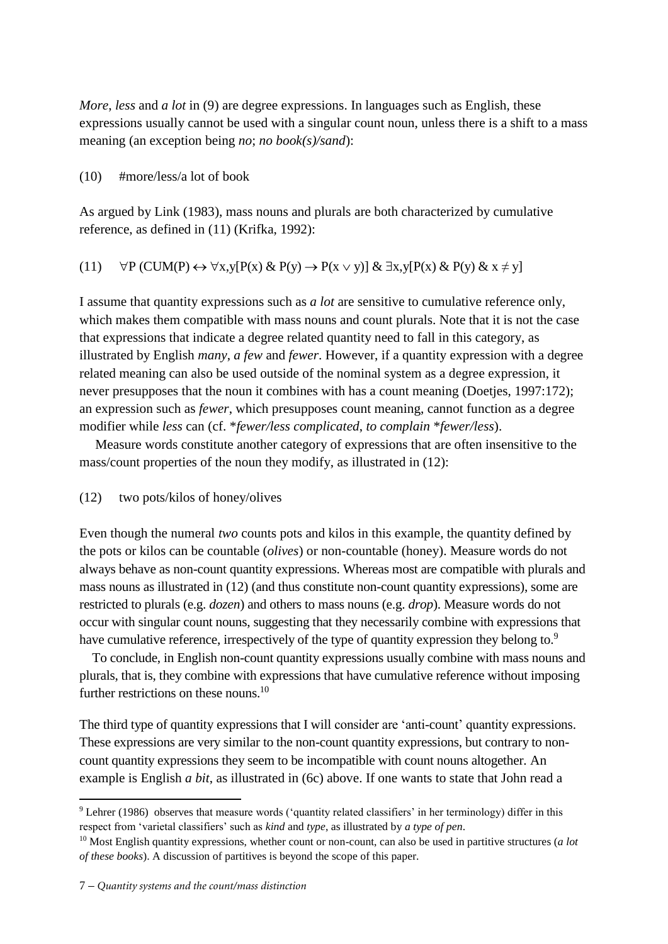*More*, *less* and *a lot* in [\(9\)](#page-5-0) are degree expressions. In languages such as English, these expressions usually cannot be used with a singular count noun, unless there is a shift to a mass meaning (an exception being *no*; *no book(s)/sand*):

<span id="page-6-2"></span>(10) #more/less/a lot of book

As argued by [Link \(1983\),](#page-26-5) mass nouns and plurals are both characterized by cumulative reference, as defined in [\(11\)](#page-6-0) [\(Krifka, 1992\)](#page-26-6):

# <span id="page-6-0"></span>(11)  $\forall P$  (CUM(P)  $\leftrightarrow \forall x,y[P(x) \& P(y) \rightarrow P(x \vee y)] \& \exists x,y[P(x) \& P(y) \& x \neq y]$

I assume that quantity expressions such as *a lot* are sensitive to cumulative reference only, which makes them compatible with mass nouns and count plurals. Note that it is not the case that expressions that indicate a degree related quantity need to fall in this category, as illustrated by English *many*, *a few* and *fewer*. However, if a quantity expression with a degree related meaning can also be used outside of the nominal system as a degree expression, it never presupposes that the noun it combines with has a count meaning (Doetjes, 1997:172); an expression such as *fewer*, which presupposes count meaning, cannot function as a degree modifier while *less* can (cf. \**fewer/less complicated*, *to complain* \**fewer/less*).

Measure words constitute another category of expressions that are often insensitive to the mass/count properties of the noun they modify, as illustrated in [\(12\)](#page-6-1):

## <span id="page-6-1"></span>(12) two pots/kilos of honey/olives

Even though the numeral *two* counts pots and kilos in this example, the quantity defined by the pots or kilos can be countable (*olives*) or non-countable (honey). Measure words do not always behave as non-count quantity expressions. Whereas most are compatible with plurals and mass nouns as illustrated in [\(12\)](#page-6-1) (and thus constitute non-count quantity expressions), some are restricted to plurals (e.g. *dozen*) and others to mass nouns (e.g. *drop*). Measure words do not occur with singular count nouns, suggesting that they necessarily combine with expressions that have cumulative reference, irrespectively of the type of quantity expression they belong to.<sup>9</sup>

To conclude, in English non-count quantity expressions usually combine with mass nouns and plurals, that is, they combine with expressions that have cumulative reference without imposing further restrictions on these nouns.<sup>10</sup>

The third type of quantity expressions that I will consider are 'anti-count' quantity expressions. These expressions are very similar to the non-count quantity expressions, but contrary to noncount quantity expressions they seem to be incompatible with count nouns altogether. An example is English *a bit*, as illustrated in [\(6c](#page-3-0)) above. If one wants to state that John read a

**.** 

<sup>9</sup> Lehrer (1986) observes that measure words ('quantity related classifiers' in her terminology) differ in this respect from 'varietal classifiers' such as *kind* and *type*, as illustrated by *a type of pen*.

<sup>10</sup> Most English quantity expressions, whether count or non-count, can also be used in partitive structures (*a lot of these books*). A discussion of partitives is beyond the scope of this paper.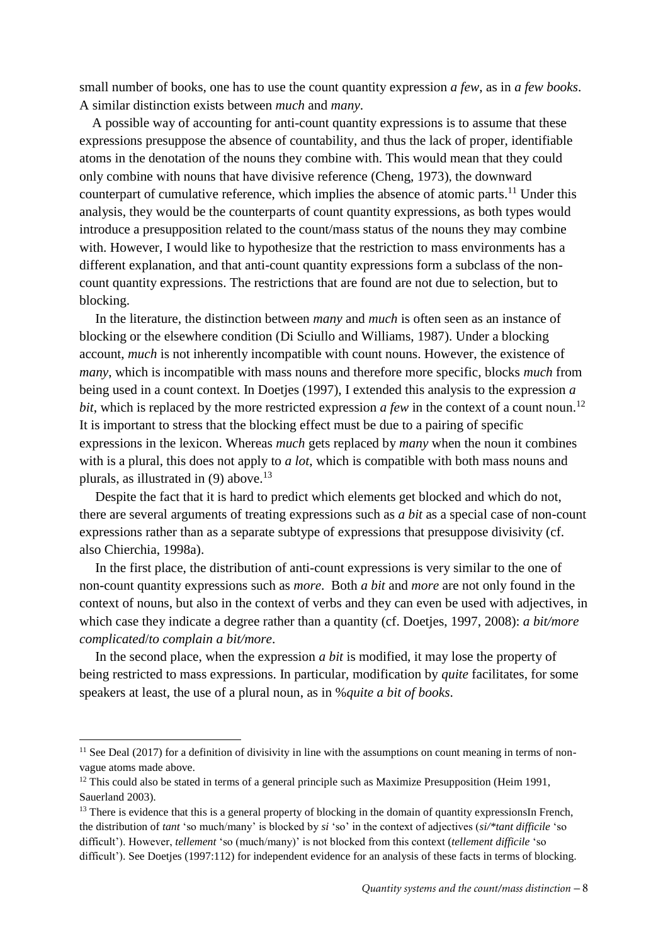small number of books, one has to use the count quantity expression *a few*, as in *a few books*. A similar distinction exists between *much* and *many*.

A possible way of accounting for anti-count quantity expressions is to assume that these expressions presuppose the absence of countability, and thus the lack of proper, identifiable atoms in the denotation of the nouns they combine with. This would mean that they could only combine with nouns that have divisive reference [\(Cheng, 1973\)](#page-24-1), the downward counterpart of cumulative reference, which implies the absence of atomic parts.<sup>11</sup> Under this analysis, they would be the counterparts of count quantity expressions, as both types would introduce a presupposition related to the count/mass status of the nouns they may combine with. However, I would like to hypothesize that the restriction to mass environments has a different explanation, and that anti-count quantity expressions form a subclass of the noncount quantity expressions. The restrictions that are found are not due to selection, but to blocking.

In the literature, the distinction between *many* and *much* is often seen as an instance of blocking or the elsewhere condition [\(Di Sciullo and Williams, 1987\)](#page-25-7). Under a blocking account, *much* is not inherently incompatible with count nouns. However, the existence of *many*, which is incompatible with mass nouns and therefore more specific, blocks *much* from being used in a count context. In Doetjes (1997), I extended this analysis to the expression *a*  bit, which is replaced by the more restricted expression *a few* in the context of a count noun.<sup>12</sup> It is important to stress that the blocking effect must be due to a pairing of specific expressions in the lexicon. Whereas *much* gets replaced by *many* when the noun it combines with is a plural, this does not apply to *a lot*, which is compatible with both mass nouns and plurals, as illustrated in [\(9\)](#page-5-0) above.<sup>13</sup>

Despite the fact that it is hard to predict which elements get blocked and which do not, there are several arguments of treating expressions such as *a bit* as a special case of non-count expressions rather than as a separate subtype of expressions that presuppose divisivity [\(cf.](#page-25-0)  [also Chierchia, 1998a\)](#page-25-0).

In the first place, the distribution of anti-count expressions is very similar to the one of non-count quantity expressions such as *more*. Both *a bit* and *more* are not only found in the context of nouns, but also in the context of verbs and they can even be used with adjectives, in which case they indicate a degree rather than a quantity (cf. [Doetjes, 1997,](#page-25-8) [2008\)](#page-25-9): *a bit/more complicated*/*to complain a bit/more*.

In the second place, when the expression *a bit* is modified, it may lose the property of being restricted to mass expressions. In particular, modification by *quite* facilitates, for some speakers at least, the use of a plural noun, as in %*quite a bit of books*.

 $\overline{a}$ 

<sup>&</sup>lt;sup>11</sup> See Deal (2017) for a definition of divisivity in line with the assumptions on count meaning in terms of nonvague atoms made above.

<sup>&</sup>lt;sup>12</sup> This could also be stated in terms of a general principle such as Maximize Presupposition (Heim 1991, Sauerland 2003).

<sup>&</sup>lt;sup>13</sup> There is evidence that this is a general property of blocking in the domain of quantity expressionsIn French, the distribution of *tant* 'so much/many' is blocked by *si* 'so' in the context of adjectives (*si/\*tant difficile* 'so difficult'). However, *tellement* 'so (much/many)' is not blocked from this context (*tellement difficile* 'so difficult'). See Doetjes (1997:112) for independent evidence for an analysis of these facts in terms of blocking.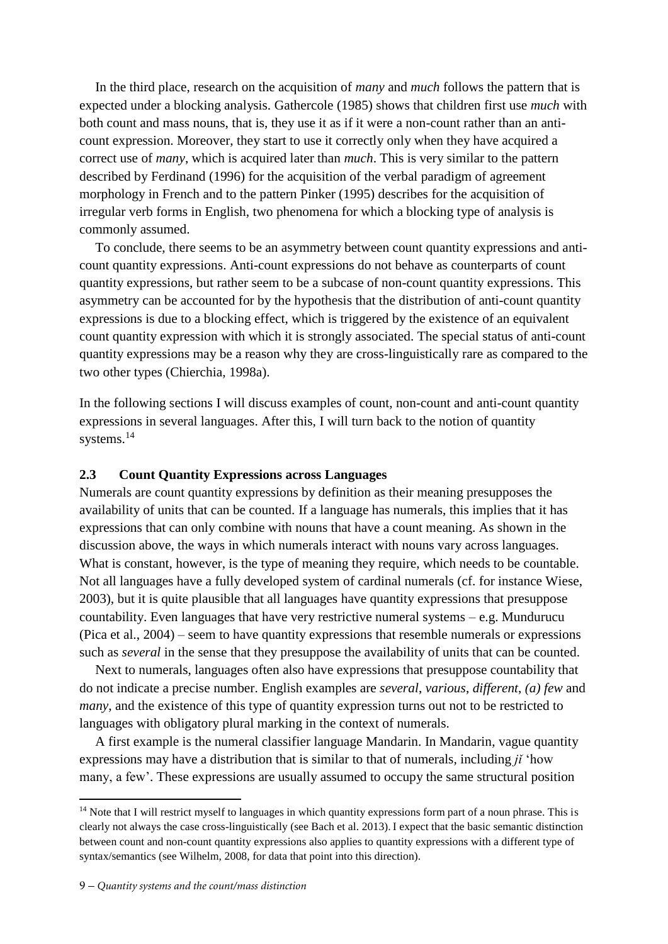In the third place, research on the acquisition of *many* and *much* follows the pattern that is expected under a blocking analysis. [Gathercole \(1985\)](#page-26-7) shows that children first use *much* with both count and mass nouns, that is, they use it as if it were a non-count rather than an anticount expression. Moreover, they start to use it correctly only when they have acquired a correct use of *many*, which is acquired later than *much*. This is very similar to the pattern described by Ferdinand [\(1996\)](#page-25-10) for the acquisition of the verbal paradigm of agreement morphology in French and to the pattern [Pinker \(1995\)](#page-27-1) describes for the acquisition of irregular verb forms in English, two phenomena for which a blocking type of analysis is commonly assumed.

To conclude, there seems to be an asymmetry between count quantity expressions and anticount quantity expressions. Anti-count expressions do not behave as counterparts of count quantity expressions, but rather seem to be a subcase of non-count quantity expressions. This asymmetry can be accounted for by the hypothesis that the distribution of anti-count quantity expressions is due to a blocking effect, which is triggered by the existence of an equivalent count quantity expression with which it is strongly associated. The special status of anti-count quantity expressions may be a reason why they are cross-linguistically rare as compared to the two other types [\(Chierchia, 1998a\)](#page-25-0).

In the following sections I will discuss examples of count, non-count and anti-count quantity expressions in several languages. After this, I will turn back to the notion of quantity systems.<sup>14</sup>

# **2.3 Count Quantity Expressions across Languages**

Numerals are count quantity expressions by definition as their meaning presupposes the availability of units that can be counted. If a language has numerals, this implies that it has expressions that can only combine with nouns that have a count meaning. As shown in the discussion above, the ways in which numerals interact with nouns vary across languages. What is constant, however, is the type of meaning they require, which needs to be countable. Not all languages have a fully developed system of cardinal numerals [\(cf. for instance Wiese,](#page-27-2)  [2003\)](#page-27-2), but it is quite plausible that all languages have quantity expressions that presuppose countability. Even languages that have very restrictive numeral systems – e.g. Mundurucu [\(Pica et al., 2004\)](#page-27-3) – seem to have quantity expressions that resemble numerals or expressions such as *several* in the sense that they presuppose the availability of units that can be counted.

Next to numerals, languages often also have expressions that presuppose countability that do not indicate a precise number. English examples are *several*, *various*, *different*, *(a) few* and *many*, and the existence of this type of quantity expression turns out not to be restricted to languages with obligatory plural marking in the context of numerals.

A first example is the numeral classifier language Mandarin. In Mandarin, vague quantity expressions may have a distribution that is similar to that of numerals, including *jǐ* 'how many, a few'. These expressions are usually assumed to occupy the same structural position

**.** 

<sup>&</sup>lt;sup>14</sup> Note that I will restrict myself to languages in which quantity expressions form part of a noun phrase. This is clearly not always the case cross-linguistically (see Bach et al. 2013). I expect that the basic semantic distinction between count and non-count quantity expressions also applies to quantity expressions with a different type of syntax/semantics (see Wilhelm, 2008, for data that point into this direction).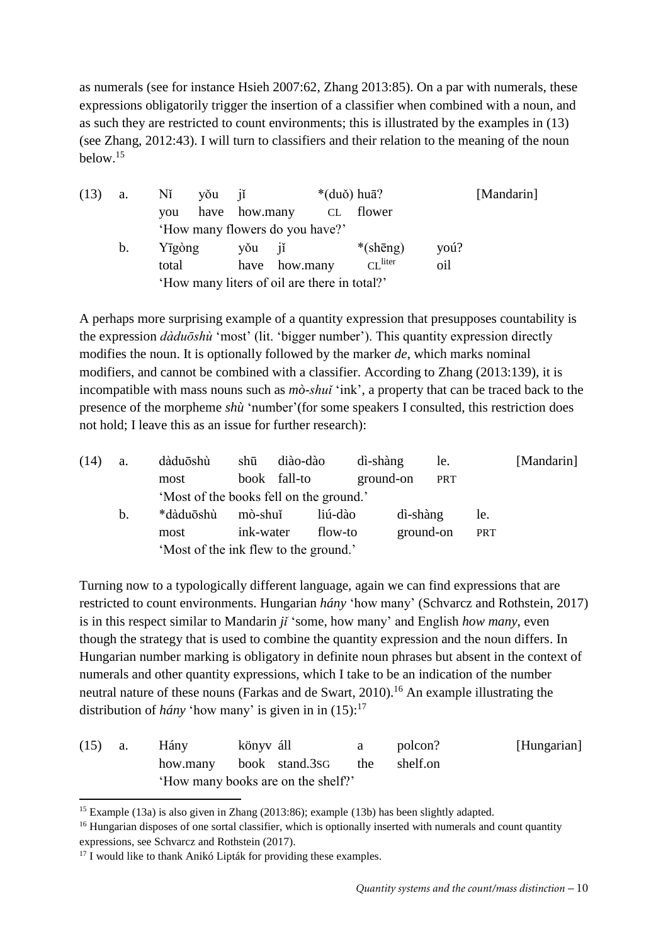as numerals (see for instance Hsieh 2007:62, Zhang 2013:85). On a par with numerals, these expressions obligatorily trigger the insertion of a classifier when combined with a noun, and as such they are restricted to count environments; this is illustrated by the examples in [\(13\)](#page-9-0) (see [Zhang, 2012:43\)](#page-27-4). I will turn to classifiers and their relation to the meaning of the noun below.<sup>15</sup>

<span id="page-9-0"></span>

| (13) | <b>a.</b>      | Nĭ     | yǒu jǐ        |                                              | $*(du\delta)$ huā? |      | [Mandarin] |
|------|----------------|--------|---------------|----------------------------------------------|--------------------|------|------------|
|      |                | vou    | have how.many | CL flower                                    |                    |      |            |
|      |                |        |               | 'How many flowers do you have?'              |                    |      |            |
|      | $\mathbf{b}$ . | Yīgòng | you jí        |                                              | $*(\text{shēng})$  | yoú? |            |
|      |                | total  |               | have how.many                                | $CL$ liter         | oil  |            |
|      |                |        |               | 'How many liters of oil are there in total?' |                    |      |            |

A perhaps more surprising example of a quantity expression that presupposes countability is the expression *dàduōshù* 'most' (lit. 'bigger number'). This quantity expression directly modifies the noun. It is optionally followed by the marker *de*, which marks nominal modifiers, and cannot be combined with a classifier. According to Zhang (2013:139), it is incompatible with mass nouns such as *mò-shuǐ* 'ink', a property that can be traced back to the presence of the morpheme *shù* 'number'(for some speakers I consulted, this restriction does not hold; I leave this as an issue for further research):

<span id="page-9-2"></span>

| (14) | a. | dàduōshù                                | shū          | diào-dào | dì-shàng  | le.        |            | [Mandarin] |
|------|----|-----------------------------------------|--------------|----------|-----------|------------|------------|------------|
|      |    | most                                    | book fall-to |          | ground-on | <b>PRT</b> |            |            |
|      |    | 'Most of the books fell on the ground.' |              |          |           |            |            |            |
|      | b. | *dàduōshù                               | mò-shuĭ      | liú-dào  | dì-shàng  |            | le.        |            |
|      |    | most                                    | ink-water    | flow-to  |           | ground-on  | <b>PRT</b> |            |
|      |    | 'Most of the ink flew to the ground.'   |              |          |           |            |            |            |

Turning now to a typologically different language, again we can find expressions that are restricted to count environments. Hungarian *hány* 'how many' [\(Schvarcz and Rothstein, 2017\)](#page-27-5) is in this respect similar to Mandarin *jǐ* 'some, how many' and English *how many*, even though the strategy that is used to combine the quantity expression and the noun differs. In Hungarian number marking is obligatory in definite noun phrases but absent in the context of numerals and other quantity expressions, which I take to be an indication of the number neutral nature of these nouns [\(Farkas and de Swart, 2010\)](#page-25-11). <sup>16</sup> An example illustrating the distribution of *hány* 'how many' is given in in  $(15)$ :<sup>17</sup>

<span id="page-9-1"></span>

| $(15)$ a. | Hány                                 | könyv áll | $\mathbf{a}$ | polcon? | [Hungarian] |
|-----------|--------------------------------------|-----------|--------------|---------|-------------|
|           | how.many book stand.3sG the shelf.on |           |              |         |             |
|           | 'How many books are on the shelf?'   |           |              |         |             |

**<sup>.</sup>** <sup>15</sup> Example [\(13a](#page-9-0)) is also given in Zhang (2013:86); example [\(13b](#page-9-0)) has been slightly adapted.

<sup>&</sup>lt;sup>16</sup> Hungarian disposes of one sortal classifier, which is optionally inserted with numerals and count quantity expressions, see Schvarcz and Rothstein (2017).

 $17$  I would like to thank Anikó Lipták for providing these examples.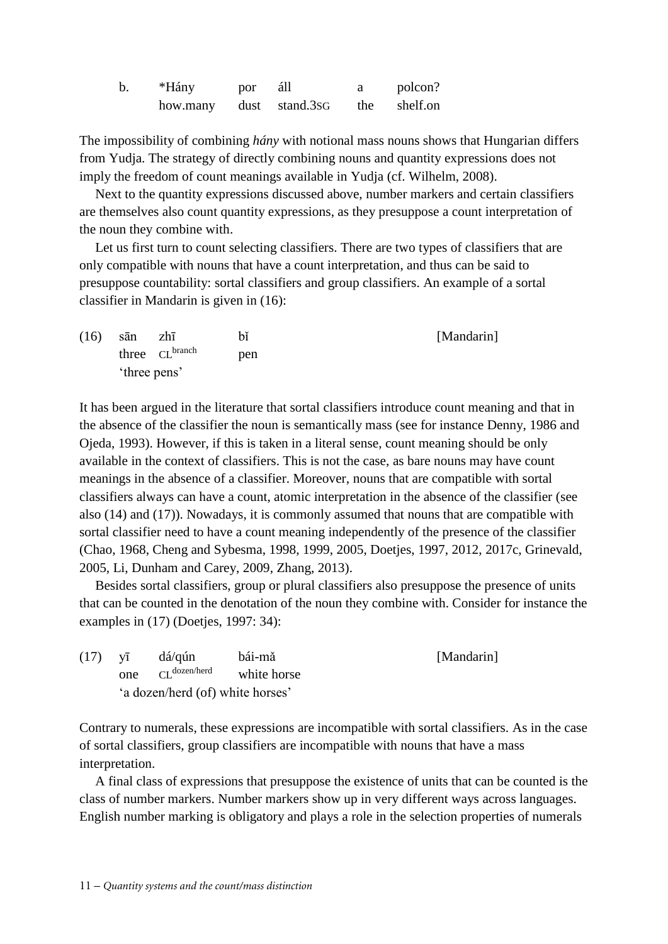| $\mathbf b$ . | *Hány    | por | áll            | polcon?      |
|---------------|----------|-----|----------------|--------------|
|               | how.many |     | dust stand.3sG | the shelf.on |

The impossibility of combining *hány* with notional mass nouns shows that Hungarian differs from Yudja. The strategy of directly combining nouns and quantity expressions does not imply the freedom of count meanings available in Yudja [\(cf. Wilhelm, 2008\)](#page-27-6).

Next to the quantity expressions discussed above, number markers and certain classifiers are themselves also count quantity expressions, as they presuppose a count interpretation of the noun they combine with.

Let us first turn to count selecting classifiers. There are two types of classifiers that are only compatible with nouns that have a count interpretation, and thus can be said to presuppose countability: sortal classifiers and group classifiers. An example of a sortal classifier in Mandarin is given in [\(16\)](#page-10-0):

<span id="page-10-0"></span>

| (16) | sān          | zhī                        | bĭ  | [Mandarin] |
|------|--------------|----------------------------|-----|------------|
|      |              | three CL <sup>branch</sup> | pen |            |
|      | 'three pens' |                            |     |            |

It has been argued in the literature that sortal classifiers introduce count meaning and that in the absence of the classifier the noun is semantically mass (see for instance Denny, 1986 and Ojeda, 1993). However, if this is taken in a literal sense, count meaning should be only available in the context of classifiers. This is not the case, as bare nouns may have count meanings in the absence of a classifier. Moreover, nouns that are compatible with sortal classifiers always can have a count, atomic interpretation in the absence of the classifier (see also [\(14\)](#page-9-2) and [\(17\)](#page-10-1)). Nowadays, it is commonly assumed that nouns that are compatible with sortal classifier need to have a count meaning independently of the presence of the classifier [\(Chao, 1968,](#page-24-2) [Cheng and Sybesma, 1998,](#page-25-12) [1999,](#page-25-13) [2005,](#page-25-14) [Doetjes, 1997,](#page-25-8) [2012,](#page-25-5) [2017c,](#page-25-15) [Grinevald,](#page-26-8)  [2005,](#page-26-8) [Li, Dunham and Carey, 2009,](#page-26-9) [Zhang, 2013\)](#page-27-7).

Besides sortal classifiers, group or plural classifiers also presuppose the presence of units that can be counted in the denotation of the noun they combine with. Consider for instance the examples in [\(17\)](#page-10-1) [\(Doetjes, 1997: 34\)](#page-25-8):

<span id="page-10-1"></span>

| $(17)$ $\sqrt{1}$ |     | dá/qún                           | bái-mǎ      | [Mandarin] |
|-------------------|-----|----------------------------------|-------------|------------|
|                   | one | $CI$ dozen/herd                  | white horse |            |
|                   |     | 'a dozen/herd (of) white horses' |             |            |

Contrary to numerals, these expressions are incompatible with sortal classifiers. As in the case of sortal classifiers, group classifiers are incompatible with nouns that have a mass interpretation.

A final class of expressions that presuppose the existence of units that can be counted is the class of number markers. Number markers show up in very different ways across languages. English number marking is obligatory and plays a role in the selection properties of numerals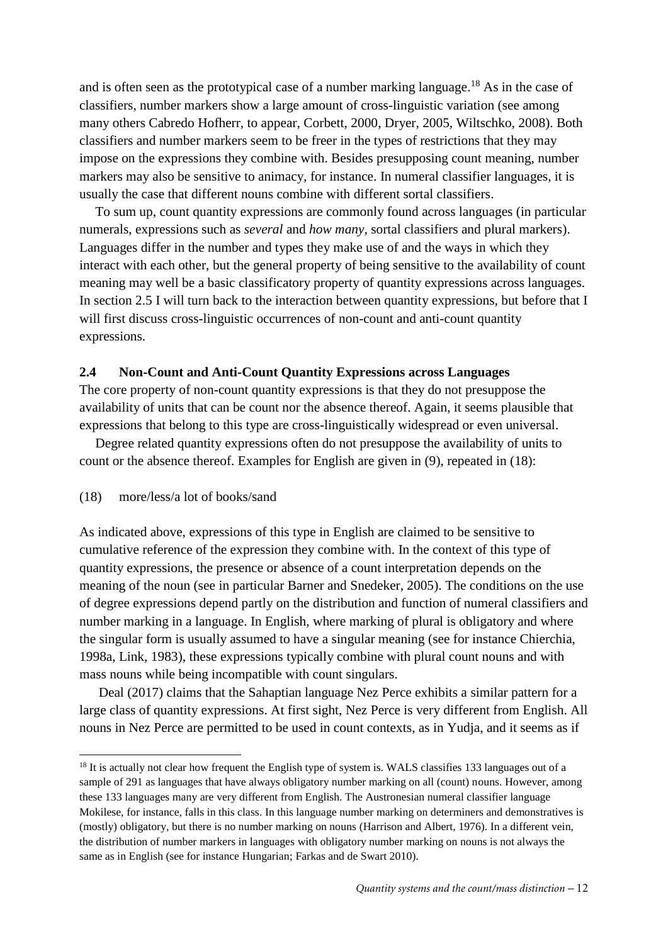and is often seen as the prototypical case of a number marking language.<sup>18</sup> As in the case of classifiers, number markers show a large amount of cross-linguistic variation (see among many others [Cabredo Hofherr, to appear,](#page-24-3) [Corbett, 2000,](#page-25-16) [Dryer, 2005,](#page-25-17) [Wiltschko, 2008\)](#page-27-8). Both classifiers and number markers seem to be freer in the types of restrictions that they may impose on the expressions they combine with. Besides presupposing count meaning, number markers may also be sensitive to animacy, for instance. In numeral classifier languages, it is usually the case that different nouns combine with different sortal classifiers.

To sum up, count quantity expressions are commonly found across languages (in particular numerals, expressions such as *several* and *how many*, sortal classifiers and plural markers). Languages differ in the number and types they make use of and the ways in which they interact with each other, but the general property of being sensitive to the availability of count meaning may well be a basic classificatory property of quantity expressions across languages. In section 2.5 I will turn back to the interaction between quantity expressions, but before that I will first discuss cross-linguistic occurrences of non-count and anti-count quantity expressions.

#### **2.4 Non-Count and Anti-Count Quantity Expressions across Languages**

The core property of non-count quantity expressions is that they do not presuppose the availability of units that can be count nor the absence thereof. Again, it seems plausible that expressions that belong to this type are cross-linguistically widespread or even universal.

Degree related quantity expressions often do not presuppose the availability of units to count or the absence thereof. Examples for English are given in [\(9\)](#page-5-0), repeated in [\(18\)](#page-11-0):

#### <span id="page-11-0"></span>(18) more/less/a lot of books/sand

**.** 

As indicated above, expressions of this type in English are claimed to be sensitive to cumulative reference of the expression they combine with. In the context of this type of quantity expressions, the presence or absence of a count interpretation depends on the meaning of the noun [\(see in particular Barner and Snedeker, 2005\)](#page-24-4). The conditions on the use of degree expressions depend partly on the distribution and function of numeral classifiers and number marking in a language. In English, where marking of plural is obligatory and where the singular form is usually assumed to have a singular meaning (see for instance [Chierchia,](#page-25-0)  [1998a,](#page-25-0) [Link, 1983\)](#page-26-5), these expressions typically combine with plural count nouns and with mass nouns while being incompatible with count singulars.

Deal (2017) claims that the Sahaptian language Nez Perce exhibits a similar pattern for a large class of quantity expressions. At first sight, Nez Perce is very different from English. All nouns in Nez Perce are permitted to be used in count contexts, as in Yudja, and it seems as if

<sup>&</sup>lt;sup>18</sup> It is actually not clear how frequent the English type of system is. WALS classifies 133 languages out of a sample of 291 as languages that have always obligatory number marking on all (count) nouns. However, among these 133 languages many are very different from English. The Austronesian numeral classifier language Mokilese, for instance, falls in this class. In this language number marking on determiners and demonstratives is (mostly) obligatory, but there is no number marking on nouns (Harrison and Albert, 1976). In a different vein, the distribution of number markers in languages with obligatory number marking on nouns is not always the same as in English (see for instance Hungarian; Farkas and de Swart 2010).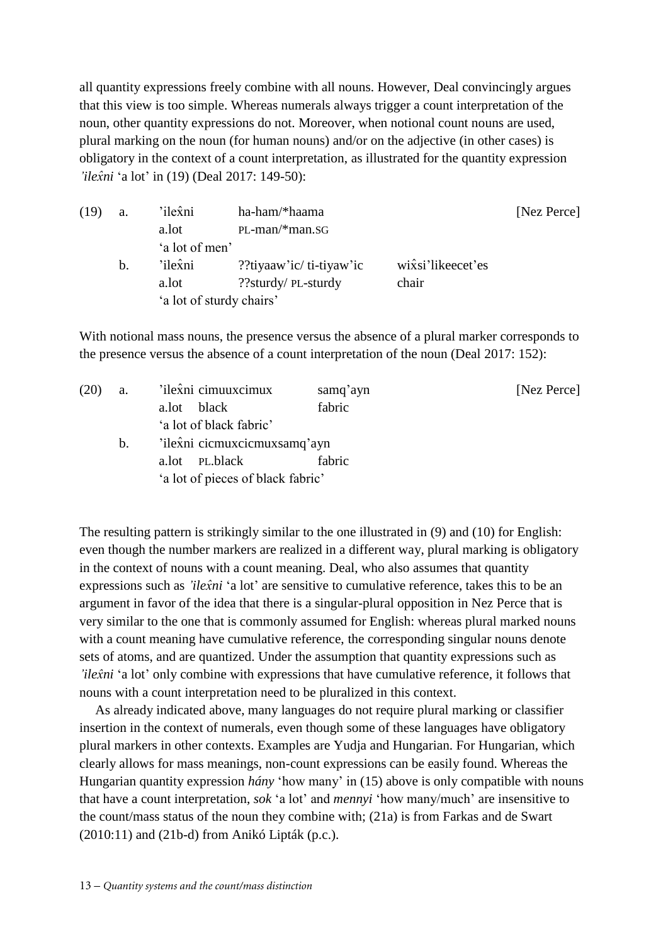all quantity expressions freely combine with all nouns. However, Deal convincingly argues that this view is too simple. Whereas numerals always trigger a count interpretation of the noun, other quantity expressions do not. Moreover, when notional count nouns are used, plural marking on the noun (for human nouns) and/or on the adjective (in other cases) is obligatory in the context of a count interpretation, as illustrated for the quantity expression *'ilex̂ni* 'a lot' in [\(19\)](#page-12-0) (Deal 2017: 149-50):

<span id="page-12-0"></span>

| (19) | a. | 'ilexni                  | ha-ham/*haama            |                                | [Nez Perce] |
|------|----|--------------------------|--------------------------|--------------------------------|-------------|
|      |    | a.lot                    | $PL$ -man/*man.sG        |                                |             |
|      |    | 'a lot of men'           |                          |                                |             |
|      | b. | 'ilexni                  | ??tiyaaw'ic/ti-tiyaw'ic? | wix <sup>si'</sup> likeecet'es |             |
|      |    | a.lot                    | ??sturdy/ PL-sturdy      | chair                          |             |
|      |    | 'a lot of sturdy chairs' |                          |                                |             |
|      |    |                          |                          |                                |             |

With notional mass nouns, the presence versus the absence of a plural marker corresponds to the presence versus the absence of a count interpretation of the noun (Deal 2017: 152):

<span id="page-12-1"></span>

| (20) | a. | 'ilexni cimuuxcimux               | samq'ayn | [Nez Perce] |  |  |  |  |
|------|----|-----------------------------------|----------|-------------|--|--|--|--|
|      |    | black<br>a.lot                    | fabric   |             |  |  |  |  |
|      |    | 'a lot of black fabric'           |          |             |  |  |  |  |
|      | b. | 'ilexni cicmuxcicmuxsamq'ayn      |          |             |  |  |  |  |
|      |    | PL.black<br>a.lot                 | fabric   |             |  |  |  |  |
|      |    | 'a lot of pieces of black fabric' |          |             |  |  |  |  |

The resulting pattern is strikingly similar to the one illustrated in [\(9\)](#page-5-0) and [\(10\)](#page-6-2) for English: even though the number markers are realized in a different way, plural marking is obligatory in the context of nouns with a count meaning. Deal, who also assumes that quantity expressions such as *'ilex̂ni* 'a lot' are sensitive to cumulative reference, takes this to be an argument in favor of the idea that there is a singular-plural opposition in Nez Perce that is very similar to the one that is commonly assumed for English: whereas plural marked nouns with a count meaning have cumulative reference, the corresponding singular nouns denote sets of atoms, and are quantized. Under the assumption that quantity expressions such as *'ilex̂ni* 'a lot' only combine with expressions that have cumulative reference, it follows that nouns with a count interpretation need to be pluralized in this context.

As already indicated above, many languages do not require plural marking or classifier insertion in the context of numerals, even though some of these languages have obligatory plural markers in other contexts. Examples are Yudja and Hungarian. For Hungarian, which clearly allows for mass meanings, non-count expressions can be easily found. Whereas the Hungarian quantity expression *hány* 'how many' in [\(15\)](#page-9-1) above is only compatible with nouns that have a count interpretation, *sok* 'a lot' and *mennyi* 'how many/much' are insensitive to the count/mass status of the noun they combine with; [\(21a](#page-13-0)) is from [Farkas and de Swart](#page-25-11)  (2010:11) and [\(21b](#page-13-0)-d) from Anikó Lipták (p.c.).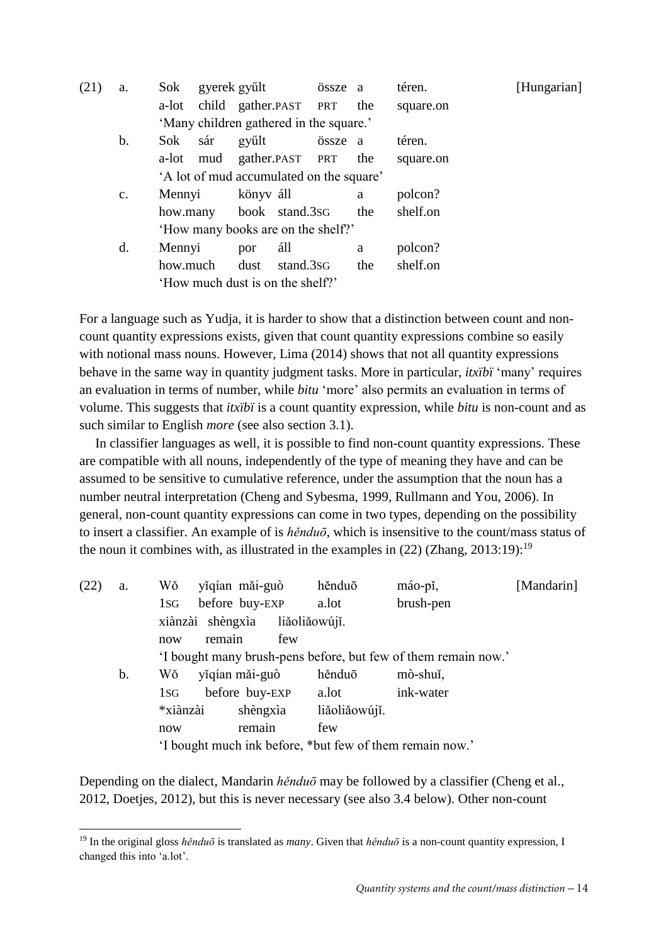<span id="page-13-0"></span>

| (21) | a.             | Sok      |     | gyerek gyűlt                            |           | össze a |     | téren.    | [Hungarian] |
|------|----------------|----------|-----|-----------------------------------------|-----------|---------|-----|-----------|-------------|
|      |                |          |     | a-lot child gather.PAST PRT             |           |         | the | square.on |             |
|      |                |          |     | 'Many children gathered in the square.' |           |         |     |           |             |
|      | b.             | Sok      | sár | gyűlt                                   |           | össze a |     | téren.    |             |
|      |                | a-lot    |     | mud gather.PAST PRT                     |           |         | the | square.on |             |
|      |                |          |     | A lot of mud accumulated on the square' |           |         |     |           |             |
|      | $\mathbf{c}$ . | Mennyi   |     | könyv áll                               |           |         | a   | polcon?   |             |
|      |                |          |     | how.many book stand.3sG                 |           |         | the | shelf.on  |             |
|      |                |          |     | 'How many books are on the shelf?'      |           |         |     |           |             |
|      | d.             | Mennyi   |     | por                                     | áll       |         | a   | polcon?   |             |
|      |                | how.much |     | dust                                    | stand.3sG |         | the | shelf.on  |             |
|      |                |          |     | 'How much dust is on the shelf?'        |           |         |     |           |             |

For a language such as Yudja, it is harder to show that a distinction between count and noncount quantity expressions exists, given that count quantity expressions combine so easily with notional mass nouns. However, Lima (2014) shows that not all quantity expressions behave in the same way in quantity judgment tasks. More in particular, *itxïbï* 'many' requires an evaluation in terms of number, while *bitu* 'more' also permits an evaluation in terms of volume. This suggests that *itxïbï* is a count quantity expression, while *bitu* is non-count and as such similar to English *more* (see also section 3.1).

In classifier languages as well, it is possible to find non-count quantity expressions. These are compatible with all nouns, independently of the type of meaning they have and can be assumed to be sensitive to cumulative reference, under the assumption that the noun has a number neutral interpretation [\(Cheng and Sybesma, 1999,](#page-25-13) [Rullmann and You, 2006\)](#page-27-9). In general, non-count quantity expressions can come in two types, depending on the possibility to insert a classifier. An example of is *hěnduō*, which is insensitive to the count/mass status of the noun it combines with, as illustrated in the examples in  $(22)$  (Zhang, 2013:19):<sup>19</sup>

<span id="page-13-1"></span>

| (22) | a.            | Wŏ                                                             |                  | yǐqían mǎi-guò |     | hěnduō        | máo-pǐ,   | [Mandarin] |
|------|---------------|----------------------------------------------------------------|------------------|----------------|-----|---------------|-----------|------------|
|      |               | 1 <sub>S</sub>                                                 |                  | before buy-EXP |     | a.lot         | brush-pen |            |
|      |               |                                                                | xiànzài shèngxìa |                |     | liăoliăowújí. |           |            |
|      |               | now                                                            | remain           |                | few |               |           |            |
|      |               | 'I bought many brush-pens before, but few of them remain now.' |                  |                |     |               |           |            |
|      | $\mathbf b$ . | Wŏ                                                             |                  | yiqían mǎi-guò |     | hěnduō        | mò-shuǐ,  |            |
|      |               | 1sg                                                            |                  | before buy-EXP |     | a.lot         | ink-water |            |
|      |               | *xiànzài                                                       |                  | shèngxìa       |     | liăoliăowújí. |           |            |
|      |               | now                                                            |                  | remain         |     | few           |           |            |
|      |               | 'I bought much ink before, *but few of them remain now.'       |                  |                |     |               |           |            |

Depending on the dialect, Mandarin *hěnduō* may be followed by a classifier (Cheng et al., [2012,](#page-25-18) [Doetjes, 2012\)](#page-25-5), but this is never necessary (see also 3.4 below). Other non-count

1

<sup>19</sup> In the original gloss *hěnduō* is translated as *many*. Given that *hěnduō* is a non-count quantity expression, I changed this into 'a.lot'.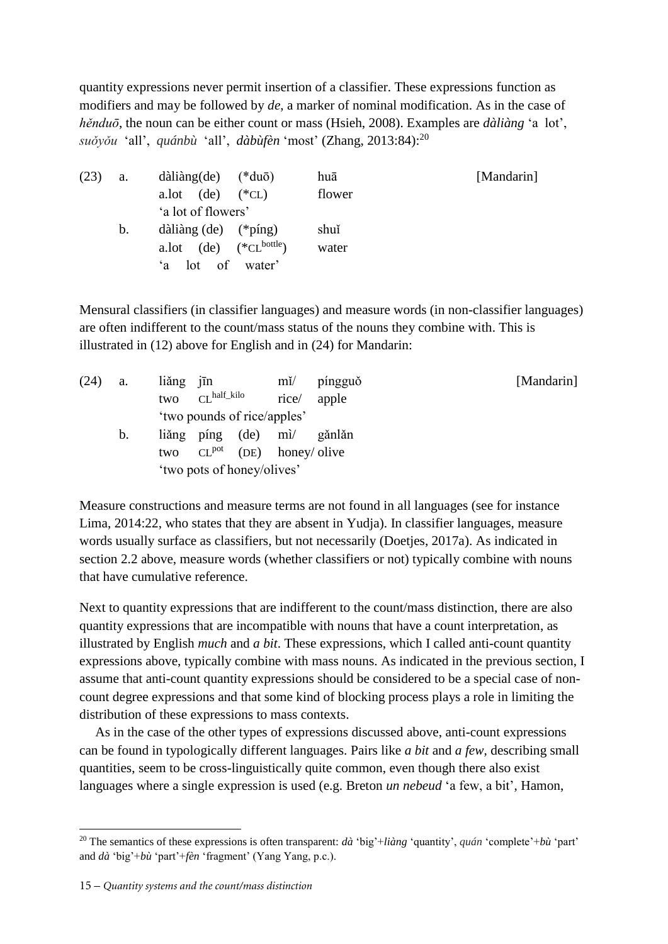quantity expressions never permit insertion of a classifier. These expressions function as modifiers and may be followed by *de*, a marker of nominal modification. As in the case of *hěnduō*, the noun can be either count or mass [\(Hsieh, 2008\)](#page-26-10). Examples are *dàliàng* 'a lot', *suǒyǒu* 'all', *quánbù* 'all', *dàbùfèn* 'most' [\(Zhang, 2013:84\)](#page-27-7): 20

| (23) | a. | $d\lambda$ i $\lambda$ ng(de)         | $(*du\bar{o})$   | huā    | [Mandarin] |
|------|----|---------------------------------------|------------------|--------|------------|
|      |    | (de)<br>a.lot                         | $(*CL)$          | flower |            |
|      |    | 'a lot of flowers'                    |                  |        |            |
|      | b. | dàliàng $(de)$ (*píng)                |                  | shuĭ   |            |
|      |    | (de)<br>a.lot                         | $(*CL^{bottle})$ | water  |            |
|      |    | of<br>10 <sup>t</sup><br>$\mathbf{a}$ | water'           |        |            |

Mensural classifiers (in classifier languages) and measure words (in non-classifier languages) are often indifferent to the count/mass status of the nouns they combine with. This is illustrated in [\(12](#page-6-1)) above for English and in [\(24\)](#page-14-0) for Mandarin:

<span id="page-14-0"></span>

| (24) | a. | liǎng jīn                   | $m\check{l}$      | píngguð | [Mandarin] |
|------|----|-----------------------------|-------------------|---------|------------|
|      |    | $CLhalf_kilo$<br>two        | rice/             | apple   |            |
|      |    | 'two pounds of rice/apples' |                   |         |            |
|      | b. | liǎng píng<br>(de)          | $m\nu$            | gǎnlǎn  |            |
|      |    | CL <sup>pot</sup><br>two    | (DE) honey/ olive |         |            |
|      |    | 'two pots of honey/olives'  |                   |         |            |

Measure constructions and measure terms are not found in all languages (see for instance Lima, 2014:22, who states that they are absent in Yudja). In classifier languages, measure words usually surface as classifiers, but not necessarily [\(Doetjes, 2017a\)](#page-25-19). As indicated in section 2.2 above, measure words (whether classifiers or not) typically combine with nouns that have cumulative reference.

Next to quantity expressions that are indifferent to the count/mass distinction, there are also quantity expressions that are incompatible with nouns that have a count interpretation, as illustrated by English *much* and *a bit*. These expressions, which I called anti-count quantity expressions above, typically combine with mass nouns. As indicated in the previous section, I assume that anti-count quantity expressions should be considered to be a special case of noncount degree expressions and that some kind of blocking process plays a role in limiting the distribution of these expressions to mass contexts.

As in the case of the other types of expressions discussed above, anti-count expressions can be found in typologically different languages. Pairs like *a bit* and *a few*, describing small quantities, seem to be cross-linguistically quite common, even though there also exist languages where a single expression is used (e.g. Breton *un nebeud* 'a few, a bit', Hamon,

<sup>1</sup> <sup>20</sup> The semantics of these expressions is often transparent: *dà* 'big'+*liàng* 'quantity', *quán* 'complete'+*bù* 'part' and *dà* 'big'+*bù* 'part'+*fèn* 'fragment' (Yang Yang, p.c.).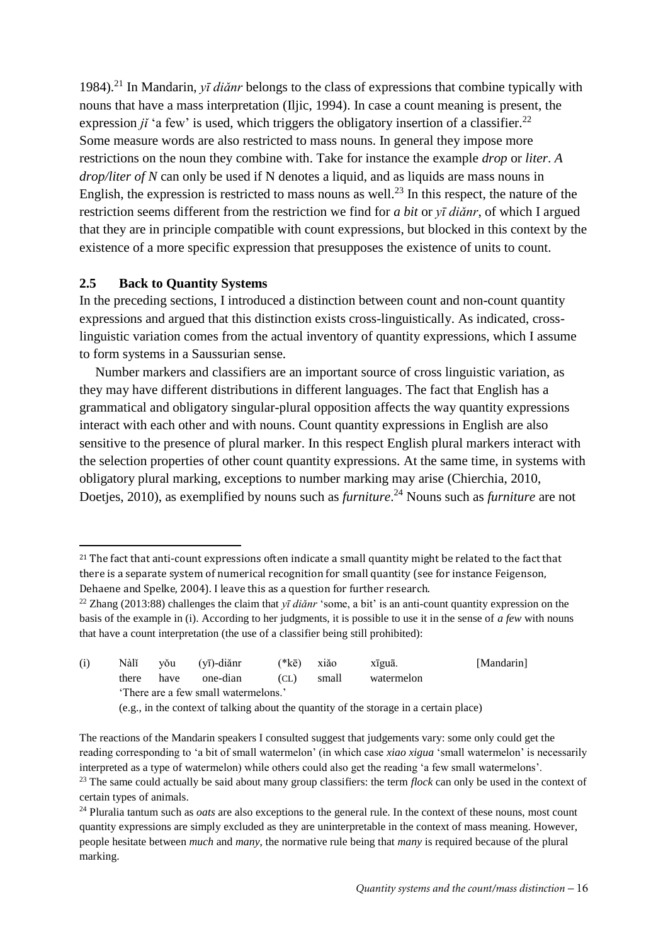1984).<sup>21</sup> In Mandarin,  $y\bar{t}$  diǎnr belongs to the class of expressions that combine typically with nouns that have a mass interpretation [\(Iljic, 1994\)](#page-26-11). In case a count meaning is present, the expression  $ji'$  a few' is used, which triggers the obligatory insertion of a classifier.<sup>22</sup> Some measure words are also restricted to mass nouns. In general they impose more restrictions on the noun they combine with. Take for instance the example *drop* or *liter*. *A drop/liter of N* can only be used if N denotes a liquid, and as liquids are mass nouns in English, the expression is restricted to mass nouns as well.<sup>23</sup> In this respect, the nature of the restriction seems different from the restriction we find for *a bit* or *yī diǎnr*, of which I argued that they are in principle compatible with count expressions, but blocked in this context by the existence of a more specific expression that presupposes the existence of units to count.

# **2.5 Back to Quantity Systems**

1

In the preceding sections, I introduced a distinction between count and non-count quantity expressions and argued that this distinction exists cross-linguistically. As indicated, crosslinguistic variation comes from the actual inventory of quantity expressions, which I assume to form systems in a Saussurian sense.

Number markers and classifiers are an important source of cross linguistic variation, as they may have different distributions in different languages. The fact that English has a grammatical and obligatory singular-plural opposition affects the way quantity expressions interact with each other and with nouns. Count quantity expressions in English are also sensitive to the presence of plural marker. In this respect English plural markers interact with the selection properties of other count quantity expressions. At the same time, in systems with obligatory plural marking, exceptions to number marking may arise [\(Chierchia, 2010,](#page-25-20) [Doetjes, 2010\)](#page-25-21), as exemplified by nouns such as *furniture*. <sup>24</sup> Nouns such as *furniture* are not

<sup>22</sup> Zhang (2013:88) challenges the claim that *yī diǎnr* 'some, a bit' is an anti-count quantity expression on the basis of the example in (i). According to her judgments, it is possible to use it in the sense of *a few* with nouns that have a count interpretation (the use of a classifier being still prohibited):

| (i) | Nàlĭ  | vŏu                                                                                    | (yī)-diǎnr | $(*k\bar{e})$ | xiǎo  | xīguā.     | [Mandarin] |  |  |
|-----|-------|----------------------------------------------------------------------------------------|------------|---------------|-------|------------|------------|--|--|
|     | there | have                                                                                   | one-dian   | (CL)          | small | watermelon |            |  |  |
|     |       | 'There are a few small watermelons.'                                                   |            |               |       |            |            |  |  |
|     |       | (e.g., in the context of talking about the quantity of the storage in a certain place) |            |               |       |            |            |  |  |

The reactions of the Mandarin speakers I consulted suggest that judgements vary: some only could get the reading corresponding to 'a bit of small watermelon' (in which case *xiao xigua* 'small watermelon' is necessarily interpreted as a type of watermelon) while others could also get the reading 'a few small watermelons'.

<sup>&</sup>lt;sup>21</sup> The fact that anti-count expressions often indicate a small quantity might be related to the fact that there is a separate system of numerical recognition for small quantity (see for instance Feigenson, Dehaene and Spelke, 2004). I leave this as a question for further research.

<sup>&</sup>lt;sup>23</sup> The same could actually be said about many group classifiers: the term *flock* can only be used in the context of certain types of animals.

<sup>&</sup>lt;sup>24</sup> Pluralia tantum such as *oats* are also exceptions to the general rule. In the context of these nouns, most count quantity expressions are simply excluded as they are uninterpretable in the context of mass meaning. However, people hesitate between *much* and *many*, the normative rule being that *many* is required because of the plural marking.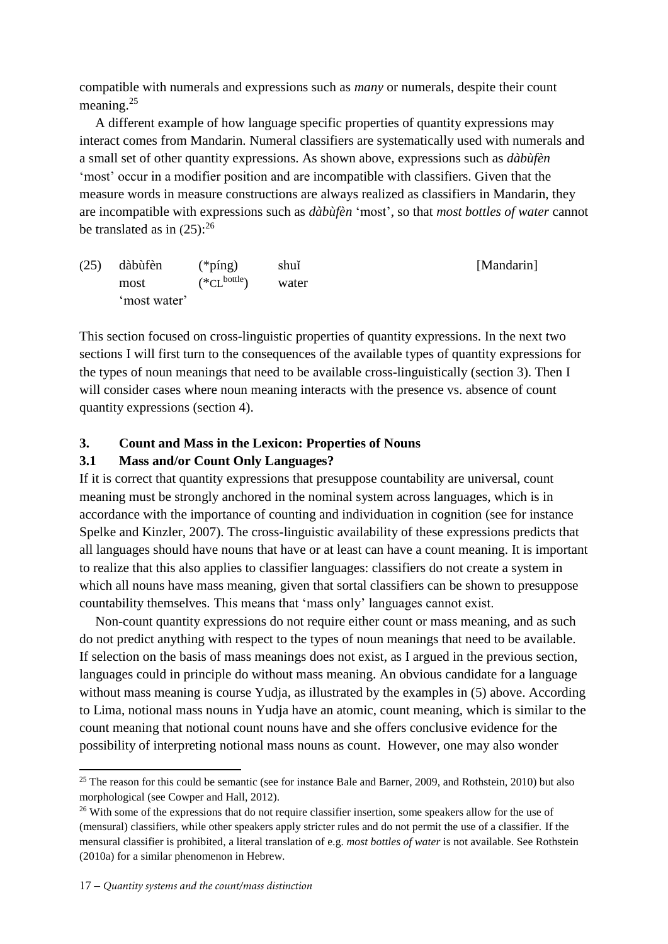compatible with numerals and expressions such as *many* or numerals, despite their count meaning.<sup>25</sup>

A different example of how language specific properties of quantity expressions may interact comes from Mandarin. Numeral classifiers are systematically used with numerals and a small set of other quantity expressions. As shown above, expressions such as *dàbùfèn* 'most' occur in a modifier position and are incompatible with classifiers. Given that the measure words in measure constructions are always realized as classifiers in Mandarin, they are incompatible with expressions such as *dàbùfèn* 'most', so that *most bottles of water* cannot be translated as in  $(25)$  $(25)$ :<sup>26</sup>

<span id="page-16-0"></span>

| $(25)$ dàbùfèn | $(*ping)$        | [Mandarin]<br>shui |  |  |
|----------------|------------------|--------------------|--|--|
| most           | $(*CL^{bottle})$ | water              |  |  |
| 'most water'   |                  |                    |  |  |

This section focused on cross-linguistic properties of quantity expressions. In the next two sections I will first turn to the consequences of the available types of quantity expressions for the types of noun meanings that need to be available cross-linguistically (section 3). Then I will consider cases where noun meaning interacts with the presence vs. absence of count quantity expressions (section 4).

# **3. Count and Mass in the Lexicon: Properties of Nouns**

# **3.1 Mass and/or Count Only Languages?**

If it is correct that quantity expressions that presuppose countability are universal, count meaning must be strongly anchored in the nominal system across languages, which is in accordance with the importance of counting and individuation in cognition [\(see for instance](#page-27-10)  [Spelke and Kinzler, 2007\)](#page-27-10). The cross-linguistic availability of these expressions predicts that all languages should have nouns that have or at least can have a count meaning. It is important to realize that this also applies to classifier languages: classifiers do not create a system in which all nouns have mass meaning, given that sortal classifiers can be shown to presuppose countability themselves. This means that 'mass only' languages cannot exist.

Non-count quantity expressions do not require either count or mass meaning, and as such do not predict anything with respect to the types of noun meanings that need to be available. If selection on the basis of mass meanings does not exist, as I argued in the previous section, languages could in principle do without mass meaning. An obvious candidate for a language without mass meaning is course Yudja, as illustrated by the examples in  $(5)$  above. According to Lima, notional mass nouns in Yudja have an atomic, count meaning, which is similar to the count meaning that notional count nouns have and she offers conclusive evidence for the possibility of interpreting notional mass nouns as count. However, one may also wonder

**<sup>.</sup>** <sup>25</sup> The reason for this could be semantic (see for instance Bale and Barner, 2009, and Rothstein, 2010) but also morphological (see Cowper and Hall, 2012).

<sup>&</sup>lt;sup>26</sup> With some of the expressions that do not require classifier insertion, some speakers allow for the use of (mensural) classifiers, while other speakers apply stricter rules and do not permit the use of a classifier. If the mensural classifier is prohibited, a literal translation of e.g. *most bottles of water* is not available. See Rothstein (2010a) for a similar phenomenon in Hebrew.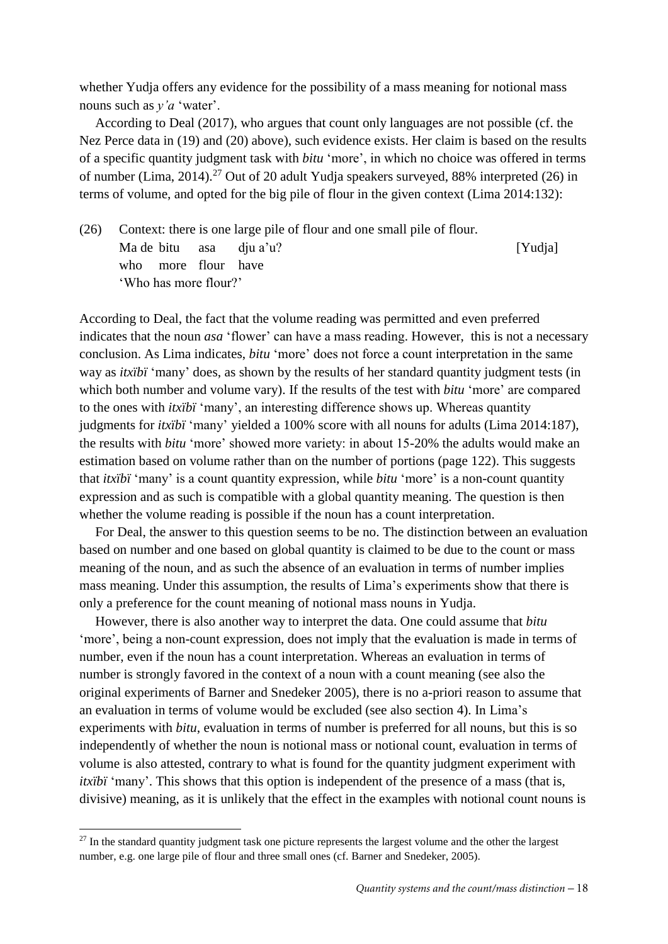whether Yudja offers any evidence for the possibility of a mass meaning for notional mass nouns such as *y'a* 'water'.

According to [Deal \(2017\),](#page-25-22) who argues that count only languages are not possible (cf. the Nez Perce data in [\(19\)](#page-12-0) and [\(20\)](#page-12-1) above), such evidence exists. Her claim is based on the results of a specific quantity judgment task with *bitu* 'more', in which no choice was offered in terms of number (Lima, 2014).<sup>27</sup> Out of 20 adult Yudja speakers surveyed, 88% interpreted [\(26\)](#page-17-0) in terms of volume, and opted for the big pile of flour in the given context (Lima 2014:132):

<span id="page-17-0"></span>(26) Context: there is one large pile of flour and one small pile of flour. Ma de bitu asa dju a'u? [Yudja] who more flour have 'Who has more flour?'

According to Deal, the fact that the volume reading was permitted and even preferred indicates that the noun *asa* 'flower' can have a mass reading. However, this is not a necessary conclusion. As Lima indicates, *bitu* 'more' does not force a count interpretation in the same way as *itxïbï* 'many' does, as shown by the results of her standard quantity judgment tests (in which both number and volume vary). If the results of the test with *bitu* 'more' are compared to the ones with *itxïbï* 'many', an interesting difference shows up. Whereas quantity judgments for *itxïbï* 'many' yielded a 100% score with all nouns for adults (Lima 2014:187), the results with *bitu* 'more' showed more variety: in about 15-20% the adults would make an estimation based on volume rather than on the number of portions (page 122). This suggests that *itxïbï* 'many' is a count quantity expression, while *bitu* 'more' is a non-count quantity expression and as such is compatible with a global quantity meaning. The question is then whether the volume reading is possible if the noun has a count interpretation.

For Deal, the answer to this question seems to be no. The distinction between an evaluation based on number and one based on global quantity is claimed to be due to the count or mass meaning of the noun, and as such the absence of an evaluation in terms of number implies mass meaning. Under this assumption, the results of Lima's experiments show that there is only a preference for the count meaning of notional mass nouns in Yudja.

However, there is also another way to interpret the data. One could assume that *bitu* 'more', being a non-count expression, does not imply that the evaluation is made in terms of number, even if the noun has a count interpretation. Whereas an evaluation in terms of number is strongly favored in the context of a noun with a count meaning (see also the original experiments of Barner and Snedeker 2005), there is no a-priori reason to assume that an evaluation in terms of volume would be excluded (see also section 4). In Lima's experiments with *bitu*, evaluation in terms of number is preferred for all nouns, but this is so independently of whether the noun is notional mass or notional count, evaluation in terms of volume is also attested, contrary to what is found for the quantity judgment experiment with *itxïbï* 'many'. This shows that this option is independent of the presence of a mass (that is, divisive) meaning, as it is unlikely that the effect in the examples with notional count nouns is

1

 $27$  In the standard quantity judgment task one picture represents the largest volume and the other the largest number, e.g. one large pile of flour and three small ones (cf. Barner and Snedeker, 2005).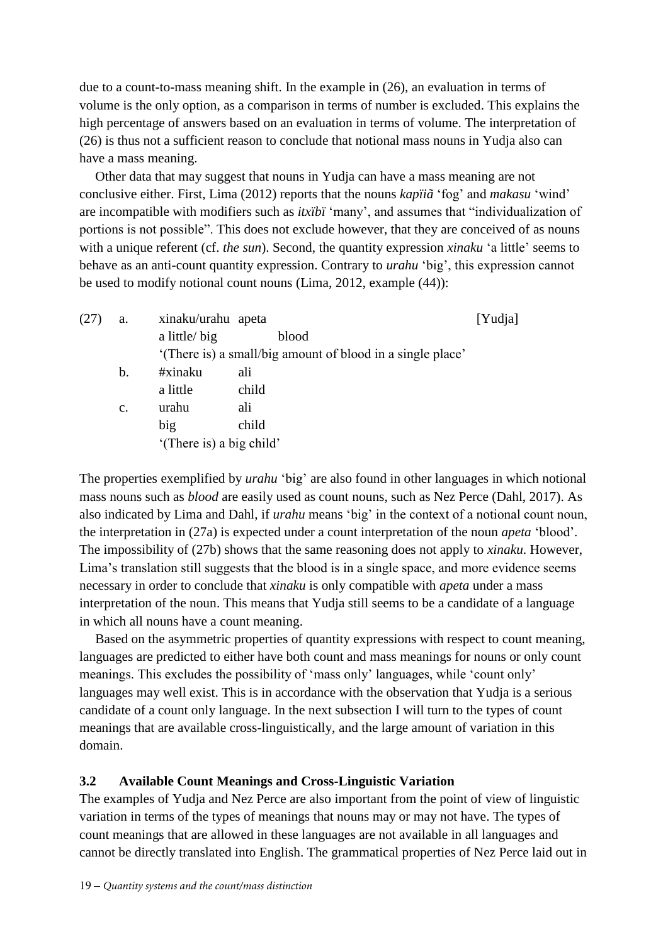due to a count-to-mass meaning shift. In the example in [\(26\)](#page-17-0), an evaluation in terms of volume is the only option, as a comparison in terms of number is excluded. This explains the high percentage of answers based on an evaluation in terms of volume. The interpretation of [\(26\)](#page-17-0) is thus not a sufficient reason to conclude that notional mass nouns in Yudja also can have a mass meaning.

Other data that may suggest that nouns in Yudja can have a mass meaning are not conclusive either. First, Lima (2012) reports that the nouns *kapïiã* 'fog' and *makasu* 'wind' are incompatible with modifiers such as *itxïbï* 'many', and assumes that "individualization of portions is not possible". This does not exclude however, that they are conceived of as nouns with a unique referent (cf. *the sun*). Second, the quantity expression *xinaku* 'a little' seems to behave as an anti-count quantity expression. Contrary to *urahu* 'big', this expression cannot be used to modify notional count nouns (Lima, 2012, example (44)):

<span id="page-18-0"></span>

| (27) | a.             | xinaku/urahu apeta                                         | [Yudja] |  |
|------|----------------|------------------------------------------------------------|---------|--|
|      |                | a little/big                                               | blood   |  |
|      |                | '(There is) a small/big amount of blood in a single place' |         |  |
|      | b.             | #xinaku                                                    | ali     |  |
|      |                | a little                                                   | child   |  |
|      | $\mathbf{c}$ . | urahu                                                      | ali     |  |
|      |                | big                                                        | child   |  |
|      |                | '(There is) a big child'                                   |         |  |

The properties exemplified by *urahu* 'big' are also found in other languages in which notional mass nouns such as *blood* are easily used as count nouns, such as Nez Perce (Dahl, 2017). As also indicated by Lima and Dahl, if *urahu* means 'big' in the context of a notional count noun, the interpretation in [\(27a](#page-18-0)) is expected under a count interpretation of the noun *apeta* 'blood'. The impossibility of [\(27b](#page-18-0)) shows that the same reasoning does not apply to *xinaku*. However, Lima's translation still suggests that the blood is in a single space, and more evidence seems necessary in order to conclude that *xinaku* is only compatible with *apeta* under a mass interpretation of the noun. This means that Yudja still seems to be a candidate of a language in which all nouns have a count meaning.

Based on the asymmetric properties of quantity expressions with respect to count meaning, languages are predicted to either have both count and mass meanings for nouns or only count meanings. This excludes the possibility of 'mass only' languages, while 'count only' languages may well exist. This is in accordance with the observation that Yudja is a serious candidate of a count only language. In the next subsection I will turn to the types of count meanings that are available cross-linguistically, and the large amount of variation in this domain.

# **3.2 Available Count Meanings and Cross-Linguistic Variation**

The examples of Yudja and Nez Perce are also important from the point of view of linguistic variation in terms of the types of meanings that nouns may or may not have. The types of count meanings that are allowed in these languages are not available in all languages and cannot be directly translated into English. The grammatical properties of Nez Perce laid out in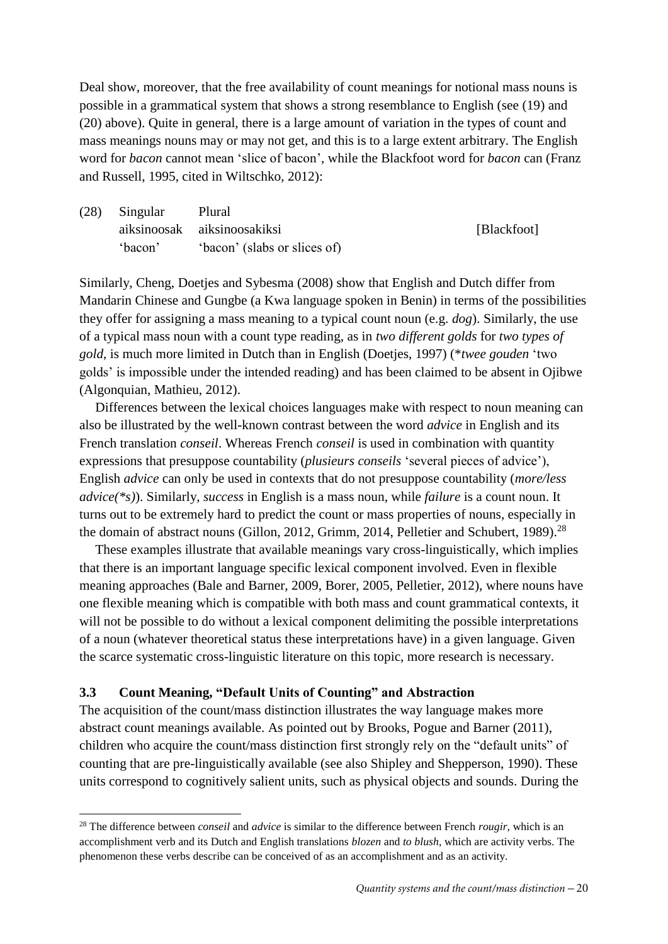Deal show, moreover, that the free availability of count meanings for notional mass nouns is possible in a grammatical system that shows a strong resemblance to English (see [\(19\)](#page-12-0) and [\(20\)](#page-12-1) above). Quite in general, there is a large amount of variation in the types of count and mass meanings nouns may or may not get, and this is to a large extent arbitrary. The English word for *bacon* cannot mean 'slice of bacon', while the Blackfoot word for *bacon* can [\(Franz](#page-26-12)  [and Russell, 1995, cited in Wiltschko, 2012\)](#page-26-12):

| $(28)$ Singular | Plural                       |             |  |  |  |
|-----------------|------------------------------|-------------|--|--|--|
|                 | aiksinoosak aiksinoosakiksi  | [Blackfoot] |  |  |  |
| 'bacon'         | 'bacon' (slabs or slices of) |             |  |  |  |

Similarly, [Cheng, Doetjes and Sybesma \(2008\)](#page-25-23) show that English and Dutch differ from Mandarin Chinese and Gungbe (a Kwa language spoken in Benin) in terms of the possibilities they offer for assigning a mass meaning to a typical count noun (e.g. *dog*). Similarly, the use of a typical mass noun with a count type reading, as in *two different golds* for *two types of gold*, is much more limited in Dutch than in English (Doetjes, 1997) (\**twee gouden* 'two golds' is impossible under the intended reading) and has been claimed to be absent in Ojibwe [\(Algonquian, Mathieu, 2012\)](#page-26-13).

Differences between the lexical choices languages make with respect to noun meaning can also be illustrated by the well-known contrast between the word *advice* in English and its French translation *conseil*. Whereas French *conseil* is used in combination with quantity expressions that presuppose countability (*plusieurs conseils* 'several pieces of advice'), English *advice* can only be used in contexts that do not presuppose countability (*more/less advice(\*s)*). Similarly, *success* in English is a mass noun, while *failure* is a count noun. It turns out to be extremely hard to predict the count or mass properties of nouns, especially in the domain of abstract nouns [\(Gillon, 2012,](#page-26-14) [Grimm, 2014,](#page-26-15) [Pelletier and Schubert, 1989\)](#page-26-16).<sup>28</sup>

These examples illustrate that available meanings vary cross-linguistically, which implies that there is an important language specific lexical component involved. Even in flexible meaning approaches [\(Bale and Barner, 2009,](#page-24-5) [Borer, 2005,](#page-24-6) [Pelletier, 2012\)](#page-27-11), where nouns have one flexible meaning which is compatible with both mass and count grammatical contexts, it will not be possible to do without a lexical component delimiting the possible interpretations of a noun (whatever theoretical status these interpretations have) in a given language. Given the scarce systematic cross-linguistic literature on this topic, more research is necessary.

## **3.3 Count Meaning, "Default Units of Counting" and Abstraction**

**.** 

The acquisition of the count/mass distinction illustrates the way language makes more abstract count meanings available. As pointed out by [Brooks, Pogue and Barner \(2011\),](#page-24-7) children who acquire the count/mass distinction first strongly rely on the "default units" of counting that are pre-linguistically available [\(see also Shipley and Shepperson, 1990\)](#page-27-12). These units correspond to cognitively salient units, such as physical objects and sounds. During the

<sup>28</sup> The difference between *conseil* and *advice* is similar to the difference between French *rougir*, which is an accomplishment verb and its Dutch and English translations *blozen* and *to blush*, which are activity verbs. The phenomenon these verbs describe can be conceived of as an accomplishment and as an activity.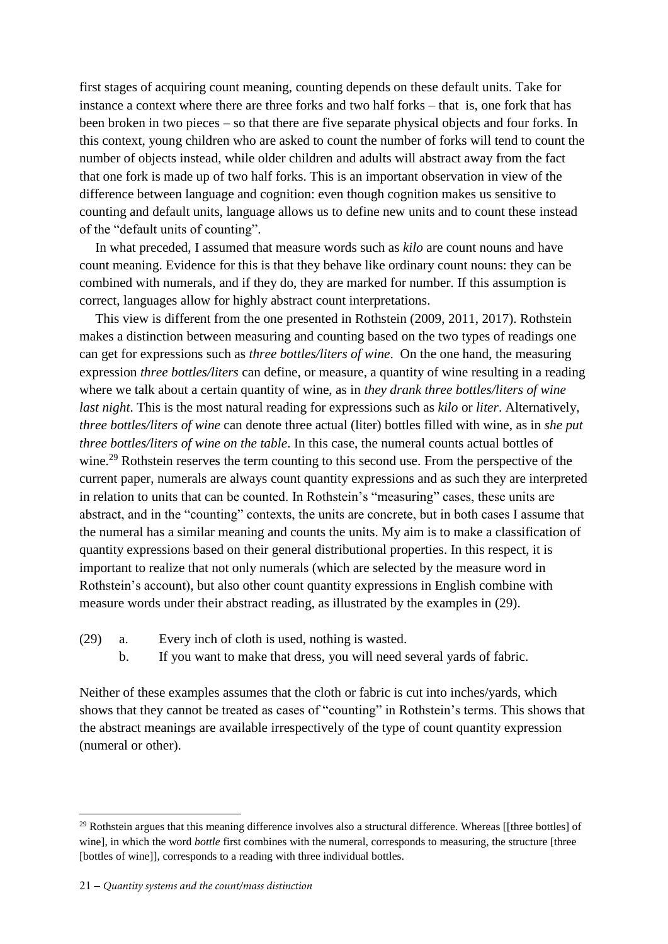first stages of acquiring count meaning, counting depends on these default units. Take for instance a context where there are three forks and two half forks – that is, one fork that has been broken in two pieces – so that there are five separate physical objects and four forks. In this context, young children who are asked to count the number of forks will tend to count the number of objects instead, while older children and adults will abstract away from the fact that one fork is made up of two half forks. This is an important observation in view of the difference between language and cognition: even though cognition makes us sensitive to counting and default units, language allows us to define new units and to count these instead of the "default units of counting".

In what preceded, I assumed that measure words such as *kilo* are count nouns and have count meaning. Evidence for this is that they behave like ordinary count nouns: they can be combined with numerals, and if they do, they are marked for number. If this assumption is correct, languages allow for highly abstract count interpretations.

This view is different from the one presented in [Rothstein \(2009,](#page-27-13) [2011,](#page-27-14) [2017\).](#page-27-15) Rothstein makes a distinction between measuring and counting based on the two types of readings one can get for expressions such as *three bottles/liters of wine*. On the one hand, the measuring expression *three bottles/liters* can define, or measure, a quantity of wine resulting in a reading where we talk about a certain quantity of wine, as in *they drank three bottles/liters of wine last night*. This is the most natural reading for expressions such as *kilo* or *liter*. Alternatively, *three bottles/liters of wine* can denote three actual (liter) bottles filled with wine, as in *she put three bottles/liters of wine on the table*. In this case, the numeral counts actual bottles of wine.<sup>29</sup> Rothstein reserves the term counting to this second use. From the perspective of the current paper, numerals are always count quantity expressions and as such they are interpreted in relation to units that can be counted. In Rothstein's "measuring" cases, these units are abstract, and in the "counting" contexts, the units are concrete, but in both cases I assume that the numeral has a similar meaning and counts the units. My aim is to make a classification of quantity expressions based on their general distributional properties. In this respect, it is important to realize that not only numerals (which are selected by the measure word in Rothstein's account), but also other count quantity expressions in English combine with measure words under their abstract reading, as illustrated by the examples in [\(29\)](#page-20-0).

- <span id="page-20-0"></span>(29) a. Every inch of cloth is used, nothing is wasted.
	- b. If you want to make that dress, you will need several yards of fabric.

Neither of these examples assumes that the cloth or fabric is cut into inches/yards, which shows that they cannot be treated as cases of "counting" in Rothstein's terms. This shows that the abstract meanings are available irrespectively of the type of count quantity expression (numeral or other).

**.** 

<sup>&</sup>lt;sup>29</sup> Rothstein argues that this meaning difference involves also a structural difference. Whereas [[three bottles] of wine], in which the word *bottle* first combines with the numeral, corresponds to measuring, the structure [three [bottles of wine]], corresponds to a reading with three individual bottles.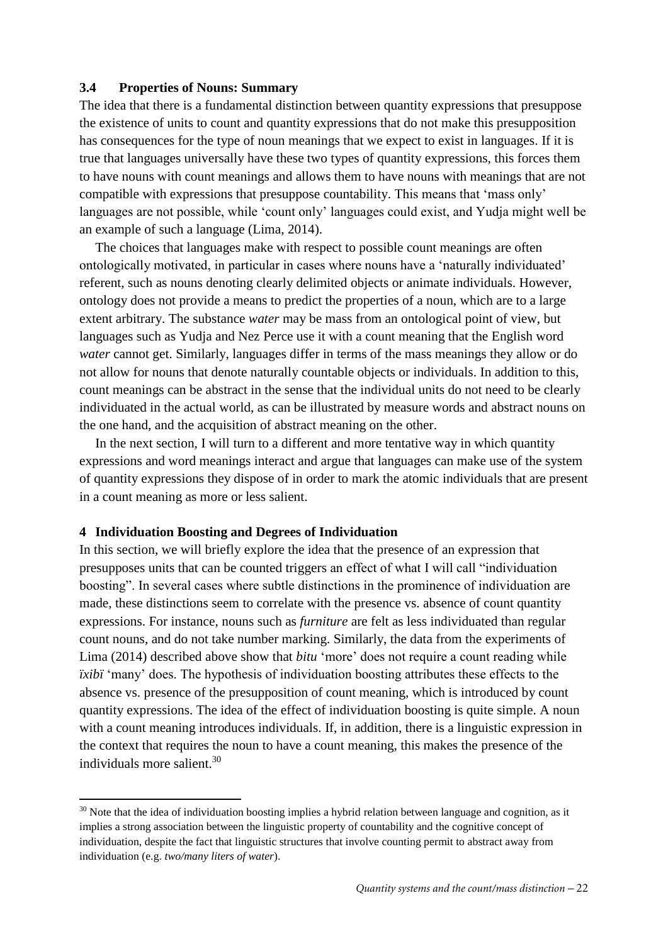## **3.4 Properties of Nouns: Summary**

The idea that there is a fundamental distinction between quantity expressions that presuppose the existence of units to count and quantity expressions that do not make this presupposition has consequences for the type of noun meanings that we expect to exist in languages. If it is true that languages universally have these two types of quantity expressions, this forces them to have nouns with count meanings and allows them to have nouns with meanings that are not compatible with expressions that presuppose countability. This means that 'mass only' languages are not possible, while 'count only' languages could exist, and Yudja might well be an example of such a language (Lima, 2014).

The choices that languages make with respect to possible count meanings are often ontologically motivated, in particular in cases where nouns have a 'naturally individuated' referent, such as nouns denoting clearly delimited objects or animate individuals. However, ontology does not provide a means to predict the properties of a noun, which are to a large extent arbitrary. The substance *water* may be mass from an ontological point of view, but languages such as Yudja and Nez Perce use it with a count meaning that the English word *water* cannot get. Similarly, languages differ in terms of the mass meanings they allow or do not allow for nouns that denote naturally countable objects or individuals. In addition to this, count meanings can be abstract in the sense that the individual units do not need to be clearly individuated in the actual world, as can be illustrated by measure words and abstract nouns on the one hand, and the acquisition of abstract meaning on the other.

In the next section, I will turn to a different and more tentative way in which quantity expressions and word meanings interact and argue that languages can make use of the system of quantity expressions they dispose of in order to mark the atomic individuals that are present in a count meaning as more or less salient.

#### **4 Individuation Boosting and Degrees of Individuation**

**.** 

In this section, we will briefly explore the idea that the presence of an expression that presupposes units that can be counted triggers an effect of what I will call "individuation boosting". In several cases where subtle distinctions in the prominence of individuation are made, these distinctions seem to correlate with the presence vs. absence of count quantity expressions. For instance, nouns such as *furniture* are felt as less individuated than regular count nouns, and do not take number marking. Similarly, the data from the experiments of Lima (2014) described above show that *bitu* 'more' does not require a count reading while *ixibi* 'many' does. The hypothesis of individuation boosting attributes these effects to the absence vs. presence of the presupposition of count meaning, which is introduced by count quantity expressions. The idea of the effect of individuation boosting is quite simple. A noun with a count meaning introduces individuals. If, in addition, there is a linguistic expression in the context that requires the noun to have a count meaning, this makes the presence of the individuals more salient.<sup>30</sup>

<sup>&</sup>lt;sup>30</sup> Note that the idea of individuation boosting implies a hybrid relation between language and cognition, as it implies a strong association between the linguistic property of countability and the cognitive concept of individuation, despite the fact that linguistic structures that involve counting permit to abstract away from individuation (e.g. *two/many liters of water*).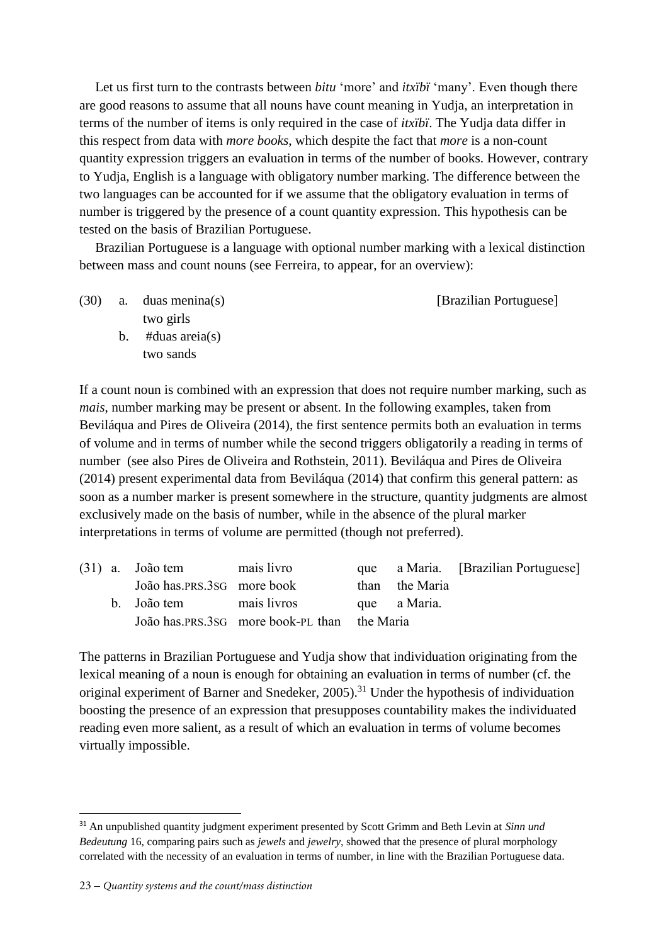Let us first turn to the contrasts between *bitu* 'more' and *itxïbï* 'many'. Even though there are good reasons to assume that all nouns have count meaning in Yudja, an interpretation in terms of the number of items is only required in the case of *itxïbï*. The Yudja data differ in this respect from data with *more books*, which despite the fact that *more* is a non-count quantity expression triggers an evaluation in terms of the number of books. However, contrary to Yudja, English is a language with obligatory number marking. The difference between the two languages can be accounted for if we assume that the obligatory evaluation in terms of number is triggered by the presence of a count quantity expression. This hypothesis can be tested on the basis of Brazilian Portuguese.

Brazilian Portuguese is a language with optional number marking with a lexical distinction between mass and count nouns [\(see Ferreira, to appear, for an overview\)](#page-26-17):

(30) a. duas menina(s) [Brazilian Portuguese] two girls

b.  $\#$ duas areia(s) two sands

If a count noun is combined with an expression that does not require number marking, such as *mais*, number marking may be present or absent. In the following examples, taken from [Beviláqua and Pires de Oliveira \(2014\),](#page-24-8) the first sentence permits both an evaluation in terms of volume and in terms of number while the second triggers obligatorily a reading in terms of number [\(see also Pires de Oliveira and Rothstein, 2011\)](#page-27-16). [Beviláqua and Pires de Oliveira](#page-24-8)  (2014) present experimental data from [Beviláqua \(2014\)](#page-24-9) that confirm this general pattern: as soon as a number marker is present somewhere in the structure, quantity judgments are almost exclusively made on the basis of number, while in the absence of the plural marker interpretations in terms of volume are permitted (though not preferred).

|  | $(31)$ a. João tem         | mais livro                                   |                | que a Maria. [Brazilian Portuguese] |
|--|----------------------------|----------------------------------------------|----------------|-------------------------------------|
|  | João has.PRS.3SG more book |                                              | than the Maria |                                     |
|  | b. João tem mais livros    |                                              | que a Maria.   |                                     |
|  |                            | João has.PRS.3SG more book-PL than the Maria |                |                                     |

The patterns in Brazilian Portuguese and Yudja show that individuation originating from the lexical meaning of a noun is enough for obtaining an evaluation in terms of number (cf. the original experiment of Barner and Snedeker,  $2005$ ).<sup>31</sup> Under the hypothesis of individuation boosting the presence of an expression that presupposes countability makes the individuated reading even more salient, as a result of which an evaluation in terms of volume becomes virtually impossible.

**.** 

<sup>31</sup> An unpublished quantity judgment experiment presented by Scott Grimm and Beth Levin at *Sinn und Bedeutung* 16, comparing pairs such as *jewels* and *jewelry*, showed that the presence of plural morphology correlated with the necessity of an evaluation in terms of number, in line with the Brazilian Portuguese data.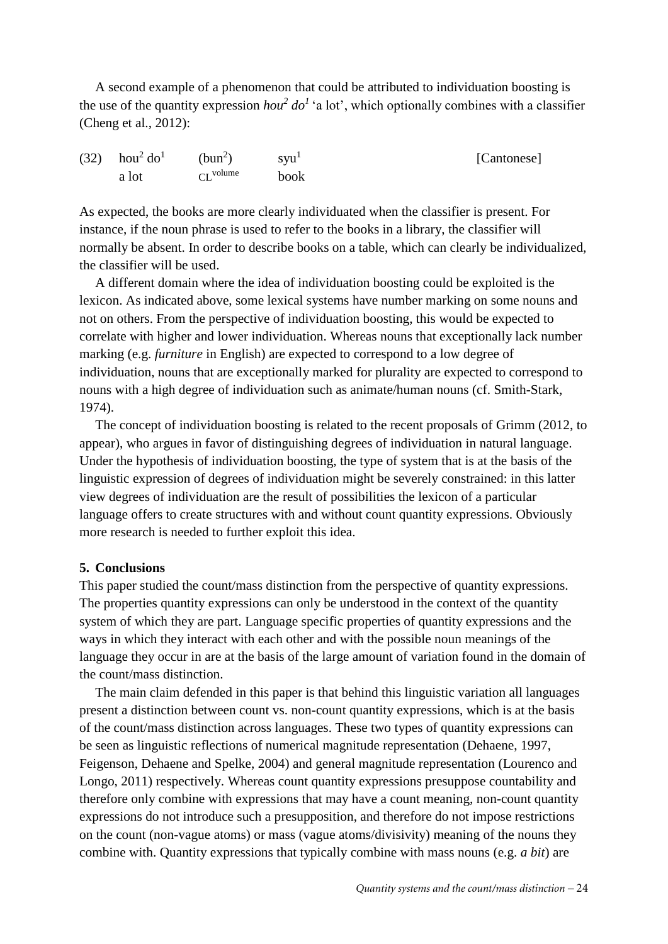A second example of a phenomenon that could be attributed to individuation boosting is the use of the quantity expression  $hou^2$  do<sup>1</sup> 'a lot', which optionally combines with a classifier [\(Cheng et al., 2012\)](#page-25-18):

| (32) $hou^2 do^1$ (bun <sup>2</sup> ) |                       | $s$ yu <sup>1</sup> | [Cantonese] |
|---------------------------------------|-----------------------|---------------------|-------------|
| a lot                                 | $\overline{C}$ volume | book                |             |

As expected, the books are more clearly individuated when the classifier is present. For instance, if the noun phrase is used to refer to the books in a library, the classifier will normally be absent. In order to describe books on a table, which can clearly be individualized, the classifier will be used.

A different domain where the idea of individuation boosting could be exploited is the lexicon. As indicated above, some lexical systems have number marking on some nouns and not on others. From the perspective of individuation boosting, this would be expected to correlate with higher and lower individuation. Whereas nouns that exceptionally lack number marking (e.g. *furniture* in English) are expected to correspond to a low degree of individuation, nouns that are exceptionally marked for plurality are expected to correspond to nouns with a high degree of individuation such as animate/human nouns [\(cf. Smith-Stark,](#page-27-17)  [1974\)](#page-27-17).

The concept of individuation boosting is related to the recent proposals of Grimm (2012, to appear), who argues in favor of distinguishing degrees of individuation in natural language. Under the hypothesis of individuation boosting, the type of system that is at the basis of the linguistic expression of degrees of individuation might be severely constrained: in this latter view degrees of individuation are the result of possibilities the lexicon of a particular language offers to create structures with and without count quantity expressions. Obviously more research is needed to further exploit this idea.

## **5. Conclusions**

This paper studied the count/mass distinction from the perspective of quantity expressions. The properties quantity expressions can only be understood in the context of the quantity system of which they are part. Language specific properties of quantity expressions and the ways in which they interact with each other and with the possible noun meanings of the language they occur in are at the basis of the large amount of variation found in the domain of the count/mass distinction.

The main claim defended in this paper is that behind this linguistic variation all languages present a distinction between count vs. non-count quantity expressions, which is at the basis of the count/mass distinction across languages. These two types of quantity expressions can be seen as linguistic reflections of numerical magnitude representation [\(Dehaene, 1997,](#page-25-3) [Feigenson, Dehaene and Spelke, 2004\)](#page-25-4) and general magnitude representation [\(Lourenco and](#page-26-4)  [Longo, 2011\)](#page-26-4) respectively. Whereas count quantity expressions presuppose countability and therefore only combine with expressions that may have a count meaning, non-count quantity expressions do not introduce such a presupposition, and therefore do not impose restrictions on the count (non-vague atoms) or mass (vague atoms/divisivity) meaning of the nouns they combine with. Quantity expressions that typically combine with mass nouns (e.g. *a bit*) are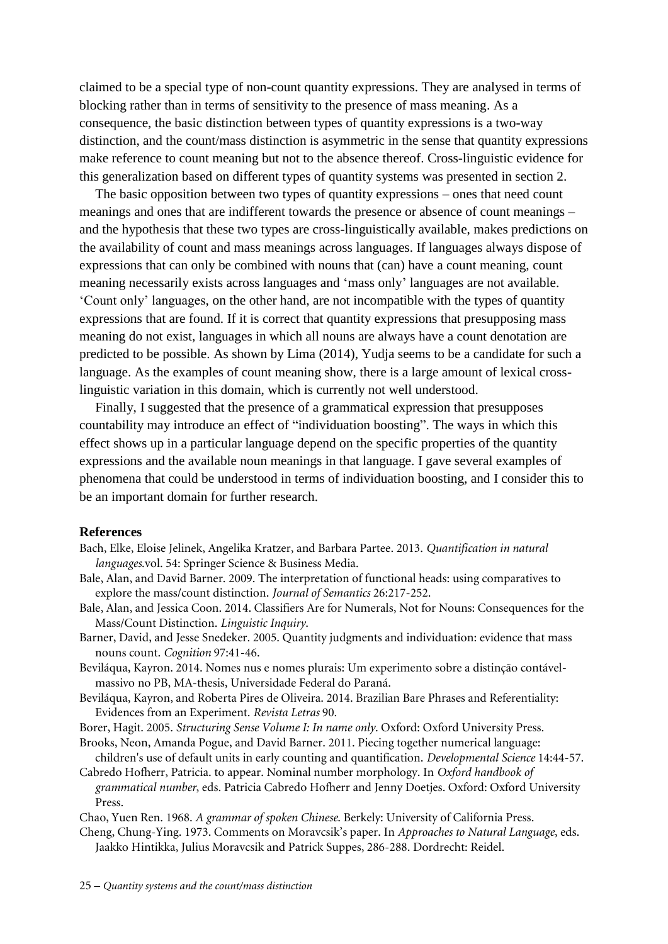claimed to be a special type of non-count quantity expressions. They are analysed in terms of blocking rather than in terms of sensitivity to the presence of mass meaning. As a consequence, the basic distinction between types of quantity expressions is a two-way distinction, and the count/mass distinction is asymmetric in the sense that quantity expressions make reference to count meaning but not to the absence thereof. Cross-linguistic evidence for this generalization based on different types of quantity systems was presented in section 2.

The basic opposition between two types of quantity expressions – ones that need count meanings and ones that are indifferent towards the presence or absence of count meanings – and the hypothesis that these two types are cross-linguistically available, makes predictions on the availability of count and mass meanings across languages. If languages always dispose of expressions that can only be combined with nouns that (can) have a count meaning, count meaning necessarily exists across languages and 'mass only' languages are not available. 'Count only' languages, on the other hand, are not incompatible with the types of quantity expressions that are found. If it is correct that quantity expressions that presupposing mass meaning do not exist, languages in which all nouns are always have a count denotation are predicted to be possible. As shown by Lima (2014), Yudja seems to be a candidate for such a language. As the examples of count meaning show, there is a large amount of lexical crosslinguistic variation in this domain, which is currently not well understood.

Finally, I suggested that the presence of a grammatical expression that presupposes countability may introduce an effect of "individuation boosting". The ways in which this effect shows up in a particular language depend on the specific properties of the quantity expressions and the available noun meanings in that language. I gave several examples of phenomena that could be understood in terms of individuation boosting, and I consider this to be an important domain for further research.

#### **References**

- Bach, Elke, Eloise Jelinek, Angelika Kratzer, and Barbara Partee. 2013. *Quantification in natural languages*.vol. 54: Springer Science & Business Media.
- <span id="page-24-5"></span>Bale, Alan, and David Barner. 2009. The interpretation of functional heads: using comparatives to explore the mass/count distinction. *Journal of Semantics* 26:217-252.
- <span id="page-24-0"></span>Bale, Alan, and Jessica Coon. 2014. Classifiers Are for Numerals, Not for Nouns: Consequences for the Mass/Count Distinction. *Linguistic Inquiry*.
- <span id="page-24-4"></span>Barner, David, and Jesse Snedeker. 2005. Quantity judgments and individuation: evidence that mass nouns count. *Cognition* 97:41-46.
- <span id="page-24-9"></span>Beviláqua, Kayron. 2014. Nomes nus e nomes plurais: Um experimento sobre a distinção contávelmassivo no PB, MA-thesis, Universidade Federal do Paraná.
- <span id="page-24-8"></span>Beviláqua, Kayron, and Roberta Pires de Oliveira. 2014. Brazilian Bare Phrases and Referentiality: Evidences from an Experiment. *Revista Letras* 90.
- <span id="page-24-6"></span>Borer, Hagit. 2005. *Structuring Sense Volume I: In name only*. Oxford: Oxford University Press.
- <span id="page-24-7"></span>Brooks, Neon, Amanda Pogue, and David Barner. 2011. Piecing together numerical language: children's use of default units in early counting and quantification. *Developmental Science* 14:44-57.
- <span id="page-24-3"></span>Cabredo Hofherr, Patricia. to appear. Nominal number morphology. In *Oxford handbook of grammatical number*, eds. Patricia Cabredo Hofherr and Jenny Doetjes. Oxford: Oxford University Press.
- <span id="page-24-2"></span>Chao, Yuen Ren. 1968. *A grammar of spoken Chinese*. Berkely: University of California Press.
- <span id="page-24-1"></span>Cheng, Chung-Ying. 1973. Comments on Moravcsik's paper. In *Approaches to Natural Language*, eds. Jaakko Hintikka, Julius Moravcsik and Patrick Suppes, 286-288. Dordrecht: Reidel.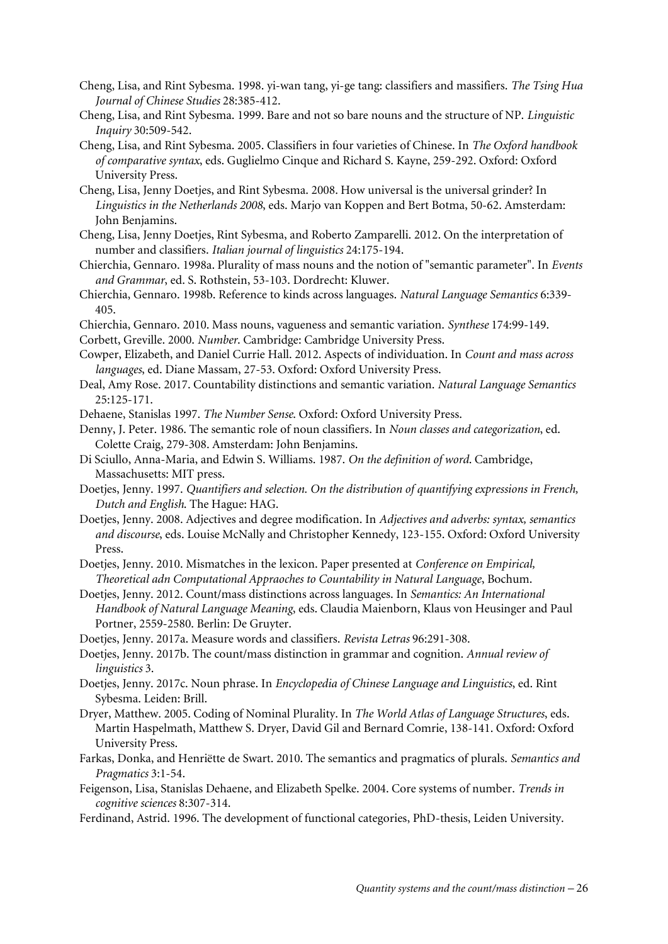- <span id="page-25-12"></span>Cheng, Lisa, and Rint Sybesma. 1998. yi-wan tang, yi-ge tang: classifiers and massifiers. *The Tsing Hua Journal of Chinese Studies* 28:385-412.
- <span id="page-25-13"></span>Cheng, Lisa, and Rint Sybesma. 1999. Bare and not so bare nouns and the structure of NP. *Linguistic Inquiry* 30:509-542.
- <span id="page-25-14"></span>Cheng, Lisa, and Rint Sybesma. 2005. Classifiers in four varieties of Chinese. In *The Oxford handbook of comparative syntax*, eds. Guglielmo Cinque and Richard S. Kayne, 259-292. Oxford: Oxford University Press.
- <span id="page-25-23"></span>Cheng, Lisa, Jenny Doetjes, and Rint Sybesma. 2008. How universal is the universal grinder? In *Linguistics in the Netherlands 2008*, eds. Marjo van Koppen and Bert Botma, 50-62. Amsterdam: John Benjamins.
- <span id="page-25-18"></span>Cheng, Lisa, Jenny Doetjes, Rint Sybesma, and Roberto Zamparelli. 2012. On the interpretation of number and classifiers. *Italian journal of linguistics* 24:175-194.
- <span id="page-25-0"></span>Chierchia, Gennaro. 1998a. Plurality of mass nouns and the notion of "semantic parameter". In *Events and Grammar*, ed. S. Rothstein, 53-103. Dordrecht: Kluwer.
- <span id="page-25-1"></span>Chierchia, Gennaro. 1998b. Reference to kinds across languages. *Natural Language Semantics* 6:339- 405.
- <span id="page-25-20"></span>Chierchia, Gennaro. 2010. Mass nouns, vagueness and semantic variation. *Synthese* 174:99-149.
- <span id="page-25-16"></span>Corbett, Greville. 2000. *Number*. Cambridge: Cambridge University Press.
- Cowper, Elizabeth, and Daniel Currie Hall. 2012. Aspects of individuation. In *Count and mass across languages*, ed. Diane Massam, 27-53. Oxford: Oxford University Press.
- <span id="page-25-22"></span>Deal, Amy Rose. 2017. Countability distinctions and semantic variation. *Natural Language Semantics* 25:125-171.
- <span id="page-25-3"></span>Dehaene, Stanislas 1997. *The Number Sense*. Oxford: Oxford University Press.
- <span id="page-25-2"></span>Denny, J. Peter. 1986. The semantic role of noun classifiers. In *Noun classes and categorization*, ed. Colette Craig, 279-308. Amsterdam: John Benjamins.
- <span id="page-25-7"></span>Di Sciullo, Anna-Maria, and Edwin S. Williams. 1987. *On the definition of word*. Cambridge, Massachusetts: MIT press.
- <span id="page-25-8"></span>Doetjes, Jenny. 1997. *Quantifiers and selection. On the distribution of quantifying expressions in French, Dutch and English*. The Hague: HAG.
- <span id="page-25-9"></span>Doetjes, Jenny. 2008. Adjectives and degree modification. In *Adjectives and adverbs: syntax, semantics and discourse*, eds. Louise McNally and Christopher Kennedy, 123-155. Oxford: Oxford University Press.
- <span id="page-25-21"></span>Doetjes, Jenny. 2010. Mismatches in the lexicon. Paper presented at *Conference on Empirical, Theoretical adn Computational Appraoches to Countability in Natural Language*, Bochum.
- <span id="page-25-5"></span>Doetjes, Jenny. 2012. Count/mass distinctions across languages. In *Semantics: An International Handbook of Natural Language Meaning*, eds. Claudia Maienborn, Klaus von Heusinger and Paul Portner, 2559-2580. Berlin: De Gruyter.
- <span id="page-25-19"></span>Doetjes, Jenny. 2017a. Measure words and classifiers. *Revista Letras* 96:291-308.
- <span id="page-25-6"></span>Doetjes, Jenny. 2017b. The count/mass distinction in grammar and cognition. *Annual review of linguistics* 3.
- <span id="page-25-15"></span>Doetjes, Jenny. 2017c. Noun phrase. In *Encyclopedia of Chinese Language and Linguistics*, ed. Rint Sybesma. Leiden: Brill.
- <span id="page-25-17"></span>Dryer, Matthew. 2005. Coding of Nominal Plurality. In *The World Atlas of Language Structures*, eds. Martin Haspelmath, Matthew S. Dryer, David Gil and Bernard Comrie, 138-141. Oxford: Oxford University Press.
- <span id="page-25-11"></span>Farkas, Donka, and Henriëtte de Swart. 2010. The semantics and pragmatics of plurals. *Semantics and Pragmatics* 3:1-54.
- <span id="page-25-4"></span>Feigenson, Lisa, Stanislas Dehaene, and Elizabeth Spelke. 2004. Core systems of number. *Trends in cognitive sciences* 8:307-314.
- <span id="page-25-10"></span>Ferdinand, Astrid. 1996. The development of functional categories, PhD-thesis, Leiden University.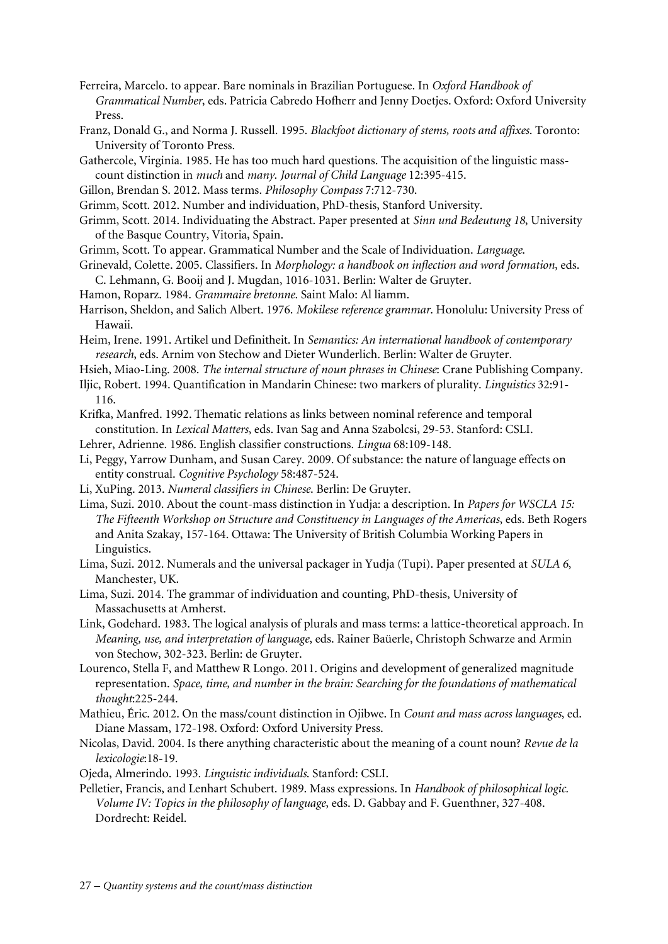- <span id="page-26-17"></span>Ferreira, Marcelo. to appear. Bare nominals in Brazilian Portuguese. In *Oxford Handbook of Grammatical Number*, eds. Patricia Cabredo Hofherr and Jenny Doetjes. Oxford: Oxford University Press.
- <span id="page-26-12"></span>Franz, Donald G., and Norma J. Russell. 1995. *Blackfoot dictionary of stems, roots and affixes*. Toronto: University of Toronto Press.
- <span id="page-26-7"></span>Gathercole, Virginia. 1985. He has too much hard questions. The acquisition of the linguistic masscount distinction in *much* and *many*. *Journal of Child Language* 12:395-415.
- <span id="page-26-14"></span>Gillon, Brendan S. 2012. Mass terms. *Philosophy Compass* 7:712-730.
- Grimm, Scott. 2012. Number and individuation, PhD-thesis, Stanford University.
- <span id="page-26-15"></span>Grimm, Scott. 2014. Individuating the Abstract. Paper presented at *Sinn und Bedeutung 18*, University of the Basque Country, Vitoria, Spain.
- Grimm, Scott. To appear. Grammatical Number and the Scale of Individuation. *Language*.
- <span id="page-26-8"></span>Grinevald, Colette. 2005. Classifiers. In *Morphology: a handbook on inflection and word formation*, eds. C. Lehmann, G. Booij and J. Mugdan, 1016-1031. Berlin: Walter de Gruyter.
- Hamon, Roparz. 1984. *Grammaire bretonne*. Saint Malo: Al liamm.
- Harrison, Sheldon, and Salich Albert. 1976. *Mokilese reference grammar*. Honolulu: University Press of Hawaii.
- Heim, Irene. 1991. Artikel und Definitheit. In *Semantics: An international handbook of contemporary research*, eds. Arnim von Stechow and Dieter Wunderlich. Berlin: Walter de Gruyter.
- <span id="page-26-10"></span>Hsieh, Miao-Ling. 2008. *The internal structure of noun phrases in Chinese*: Crane Publishing Company.
- <span id="page-26-11"></span>Iljic, Robert. 1994. Quantification in Mandarin Chinese: two markers of plurality. *Linguistics* 32:91- 116.
- <span id="page-26-6"></span>Krifka, Manfred. 1992. Thematic relations as links between nominal reference and temporal constitution. In *Lexical Matters*, eds. Ivan Sag and Anna Szabolcsi, 29-53. Stanford: CSLI.
- Lehrer, Adrienne. 1986. English classifier constructions. *Lingua* 68:109-148.
- <span id="page-26-9"></span>Li, Peggy, Yarrow Dunham, and Susan Carey. 2009. Of substance: the nature of language effects on entity construal. *Cognitive Psychology* 58:487-524.
- <span id="page-26-0"></span>Li, XuPing. 2013. *Numeral classifiers in Chinese*. Berlin: De Gruyter.
- <span id="page-26-2"></span>Lima, Suzi. 2010. About the count-mass distinction in Yudja: a description. In *Papers for WSCLA 15: The Fifteenth Workshop on Structure and Constituency in Languages of the Americas*, eds. Beth Rogers and Anita Szakay, 157-164. Ottawa: The University of British Columbia Working Papers in Linguistics.
- Lima, Suzi. 2012. Numerals and the universal packager in Yudja (Tupi). Paper presented at *SULA 6*, Manchester, UK.
- <span id="page-26-3"></span>Lima, Suzi. 2014. The grammar of individuation and counting, PhD-thesis, University of Massachusetts at Amherst.
- <span id="page-26-5"></span>Link, Godehard. 1983. The logical analysis of plurals and mass terms: a lattice-theoretical approach. In *Meaning, use, and interpretation of language*, eds. Rainer Baüerle, Christoph Schwarze and Armin von Stechow, 302-323. Berlin: de Gruyter.
- <span id="page-26-4"></span>Lourenco, Stella F, and Matthew R Longo. 2011. Origins and development of generalized magnitude representation. *Space, time, and number in the brain: Searching for the foundations of mathematical thought*:225-244.
- <span id="page-26-13"></span>Mathieu, Éric. 2012. On the mass/count distinction in Ojibwe. In *Count and mass across languages*, ed. Diane Massam, 172-198. Oxford: Oxford University Press.
- Nicolas, David. 2004. Is there anything characteristic about the meaning of a count noun? *Revue de la lexicologie*:18-19.
- <span id="page-26-1"></span>Ojeda, Almerindo. 1993. *Linguistic individuals*. Stanford: CSLI.
- <span id="page-26-16"></span>Pelletier, Francis, and Lenhart Schubert. 1989. Mass expressions. In *Handbook of philosophical logic. Volume IV: Topics in the philosophy of language*, eds. D. Gabbay and F. Guenthner, 327-408. Dordrecht: Reidel.